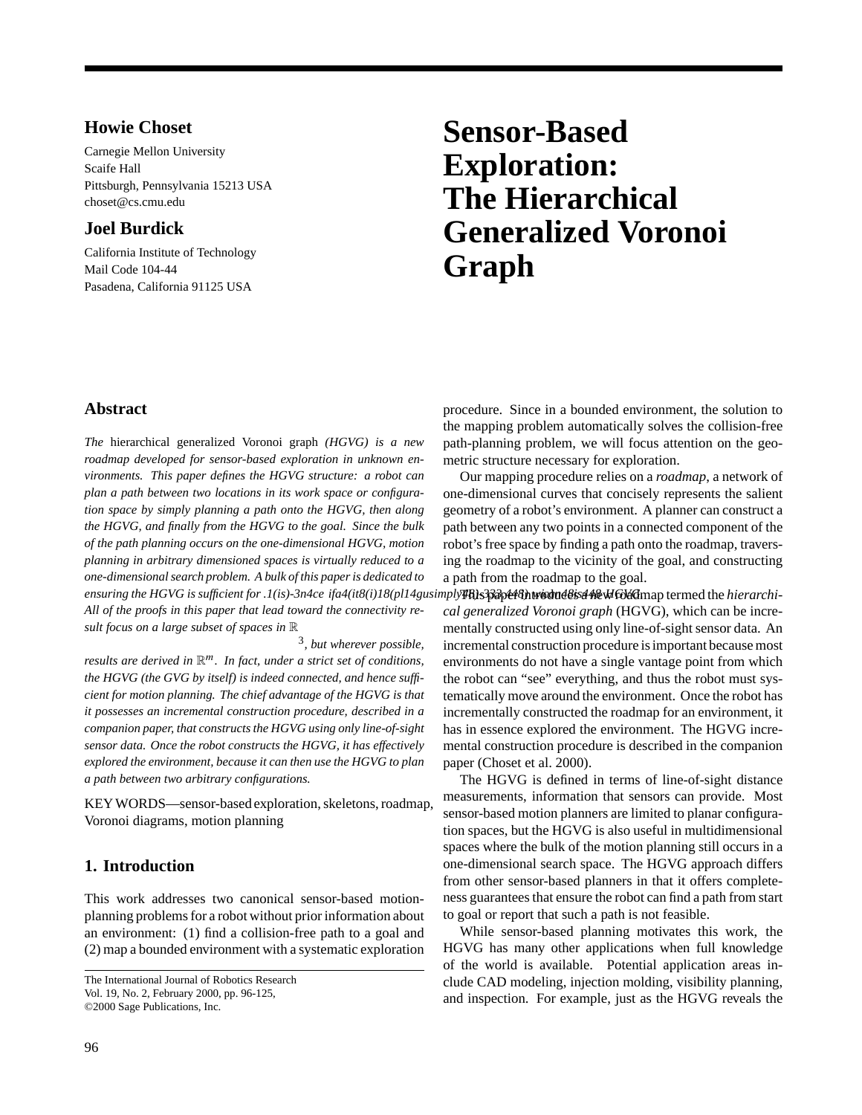# **Howie Choset**

Carnegie Mellon University Scaife Hall Pittsburgh, Pennsylvania 15213 USA choset@cs.cmu.edu

# **Joel Burdick**

California Institute of Technology Mail Code 104-44 Pasadena, California 91125 USA

# **Sensor-Based Exploration: The Hierarchical Generalized Voronoi Graph**

# **Abstract**

*The* hierarchical generalized Voronoi graph *(HGVG) is a new roadmap developed for sensor-based exploration in unknown environments. This paper defines the HGVG structure: a robot can plan a path between two locations in its work space or configuration space by simply planning a path onto the HGVG, then along the HGVG, and finally from the HGVG to the goal. Since the bulk of the path planning occurs on the one-dimensional HGVG, motion planning in arbitrary dimensioned spaces is virtually reduced to a one-dimensional search problem. A bulk of this paper is dedicated to ensuring the HGVG is sufficient for .1(is)-3n4ce ifa4(it8(i)18(pl14gusimply48)-333.448)wican48is448 HGVG.* This paper introduces a new roadmap termed the *hierarchi-All of the proofs in this paper that lead toward the connectivity result focus on a large subset of spaces in* R

<sup>3</sup>*, but wherever possible,*

*results are derived in*  $\mathbb{R}^m$ *. In fact, under a strict set of conditions, the HGVG (the GVG by itself) is indeed connected, and hence sufficient for motion planning. The chief advantage of the HGVG is that it possesses an incremental construction procedure, described in a companion paper, that constructs the HGVG using only line-of-sight sensor data. Once the robot constructs the HGVG, it has effectively explored the environment, because it can then use the HGVG to plan a path between two arbitrary configurations.*

KEY WORDS—sensor-based exploration, skeletons, roadmap, Voronoi diagrams, motion planning

# **1. Introduction**

This work addresses two canonical sensor-based motionplanning problems for a robot without prior information about an environment: (1) find a collision-free path to a goal and (2) map a bounded environment with a systematic exploration

path between any two points in a connected component of the robot's free space by finding a path onto the roadmap, traversing the roadmap to the vicinity of the goal, and constructing a path from the roadmap to the goal.

metric structure necessary for exploration.

*cal generalized Voronoi graph* (HGVG), which can be incrementally constructed using only line-of-sight sensor data. An incremental construction procedure is important because most environments do not have a single vantage point from which the robot can "see" everything, and thus the robot must systematically move around the environment. Once the robot has incrementally constructed the roadmap for an environment, it has in essence explored the environment. The HGVG incremental construction procedure is described in the companion paper (Choset et al. 2000).

procedure. Since in a bounded environment, the solution to the mapping problem automatically solves the collision-free path-planning problem, we will focus attention on the geo-

Our mapping procedure relies on a *roadmap*, a network of one-dimensional curves that concisely represents the salient geometry of a robot's environment. A planner can construct a

The HGVG is defined in terms of line-of-sight distance measurements, information that sensors can provide. Most sensor-based motion planners are limited to planar configuration spaces, but the HGVG is also useful in multidimensional spaces where the bulk of the motion planning still occurs in a one-dimensional search space. The HGVG approach differs from other sensor-based planners in that it offers completeness guarantees that ensure the robot can find a path from start to goal or report that such a path is not feasible.

While sensor-based planning motivates this work, the HGVG has many other applications when full knowledge of the world is available. Potential application areas include CAD modeling, injection molding, visibility planning, and inspection. For example, just as the HGVG reveals the

The International Journal of Robotics Research Vol. 19, No. 2, February 2000, pp. 96-125, ©2000 Sage Publications, Inc.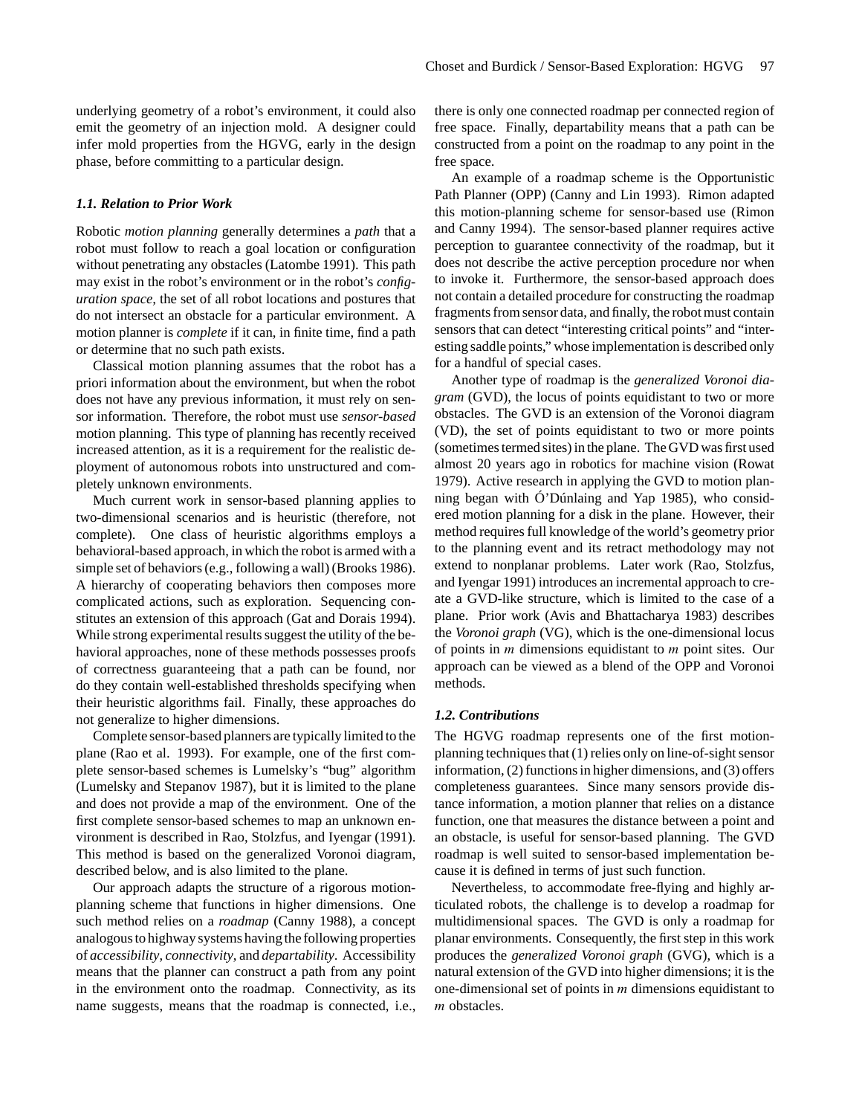underlying geometry of a robot's environment, it could also emit the geometry of an injection mold. A designer could infer mold properties from the HGVG, early in the design phase, before committing to a particular design.

#### *1.1. Relation to Prior Work*

Robotic *motion planning* generally determines a *path* that a robot must follow to reach a goal location or configuration without penetrating any obstacles (Latombe 1991). This path may exist in the robot's environment or in the robot's *configuration space,* the set of all robot locations and postures that do not intersect an obstacle for a particular environment. A motion planner is *complete* if it can, in finite time, find a path or determine that no such path exists.

Classical motion planning assumes that the robot has a priori information about the environment, but when the robot does not have any previous information, it must rely on sensor information. Therefore, the robot must use *sensor-based* motion planning. This type of planning has recently received increased attention, as it is a requirement for the realistic deployment of autonomous robots into unstructured and completely unknown environments.

Much current work in sensor-based planning applies to two-dimensional scenarios and is heuristic (therefore, not complete). One class of heuristic algorithms employs a behavioral-based approach, in which the robot is armed with a simple set of behaviors (e.g., following a wall) (Brooks 1986). A hierarchy of cooperating behaviors then composes more complicated actions, such as exploration. Sequencing constitutes an extension of this approach (Gat and Dorais 1994). While strong experimental results suggest the utility of the behavioral approaches, none of these methods possesses proofs of correctness guaranteeing that a path can be found, nor do they contain well-established thresholds specifying when their heuristic algorithms fail. Finally, these approaches do not generalize to higher dimensions.

Complete sensor-based planners are typically limited to the plane (Rao et al. 1993). For example, one of the first complete sensor-based schemes is Lumelsky's "bug" algorithm (Lumelsky and Stepanov 1987), but it is limited to the plane and does not provide a map of the environment. One of the first complete sensor-based schemes to map an unknown environment is described in Rao, Stolzfus, and Iyengar (1991). This method is based on the generalized Voronoi diagram, described below, and is also limited to the plane.

Our approach adapts the structure of a rigorous motionplanning scheme that functions in higher dimensions. One such method relies on a *roadmap* (Canny 1988), a concept analogous to highway systems having the following properties of *accessibility*, *connectivity*, and *departability*. Accessibility means that the planner can construct a path from any point in the environment onto the roadmap. Connectivity, as its name suggests, means that the roadmap is connected, i.e., there is only one connected roadmap per connected region of free space. Finally, departability means that a path can be constructed from a point on the roadmap to any point in the free space.

An example of a roadmap scheme is the Opportunistic Path Planner (OPP) (Canny and Lin 1993). Rimon adapted this motion-planning scheme for sensor-based use (Rimon and Canny 1994). The sensor-based planner requires active perception to guarantee connectivity of the roadmap, but it does not describe the active perception procedure nor when to invoke it. Furthermore, the sensor-based approach does not contain a detailed procedure for constructing the roadmap fragments from sensor data, and finally, the robot must contain sensors that can detect "interesting critical points" and "interesting saddle points," whose implementation is described only for a handful of special cases.

Another type of roadmap is the *generalized Voronoi diagram* (GVD), the locus of points equidistant to two or more obstacles. The GVD is an extension of the Voronoi diagram (VD), the set of points equidistant to two or more points (sometimes termed sites) in the plane. The GVD was first used almost 20 years ago in robotics for machine vision (Rowat 1979). Active research in applying the GVD to motion planning began with Ó'Dúnlaing and Yap 1985), who considered motion planning for a disk in the plane. However, their method requires full knowledge of the world's geometry prior to the planning event and its retract methodology may not extend to nonplanar problems. Later work (Rao, Stolzfus, and Iyengar 1991) introduces an incremental approach to create a GVD-like structure, which is limited to the case of a plane. Prior work (Avis and Bhattacharya 1983) describes the *Voronoi graph* (VG), which is the one-dimensional locus of points in  $m$  dimensions equidistant to  $m$  point sites. Our approach can be viewed as a blend of the OPP and Voronoi methods.

#### *1.2. Contributions*

The HGVG roadmap represents one of the first motionplanning techniques that (1) relies only on line-of-sight sensor information, (2) functions in higher dimensions, and (3) offers completeness guarantees. Since many sensors provide distance information, a motion planner that relies on a distance function, one that measures the distance between a point and an obstacle, is useful for sensor-based planning. The GVD roadmap is well suited to sensor-based implementation because it is defined in terms of just such function.

Nevertheless, to accommodate free-flying and highly articulated robots, the challenge is to develop a roadmap for multidimensional spaces. The GVD is only a roadmap for planar environments. Consequently, the first step in this work produces the *generalized Voronoi graph* (GVG), which is a natural extension of the GVD into higher dimensions; it is the one-dimensional set of points in  $m$  dimensions equidistant to m obstacles.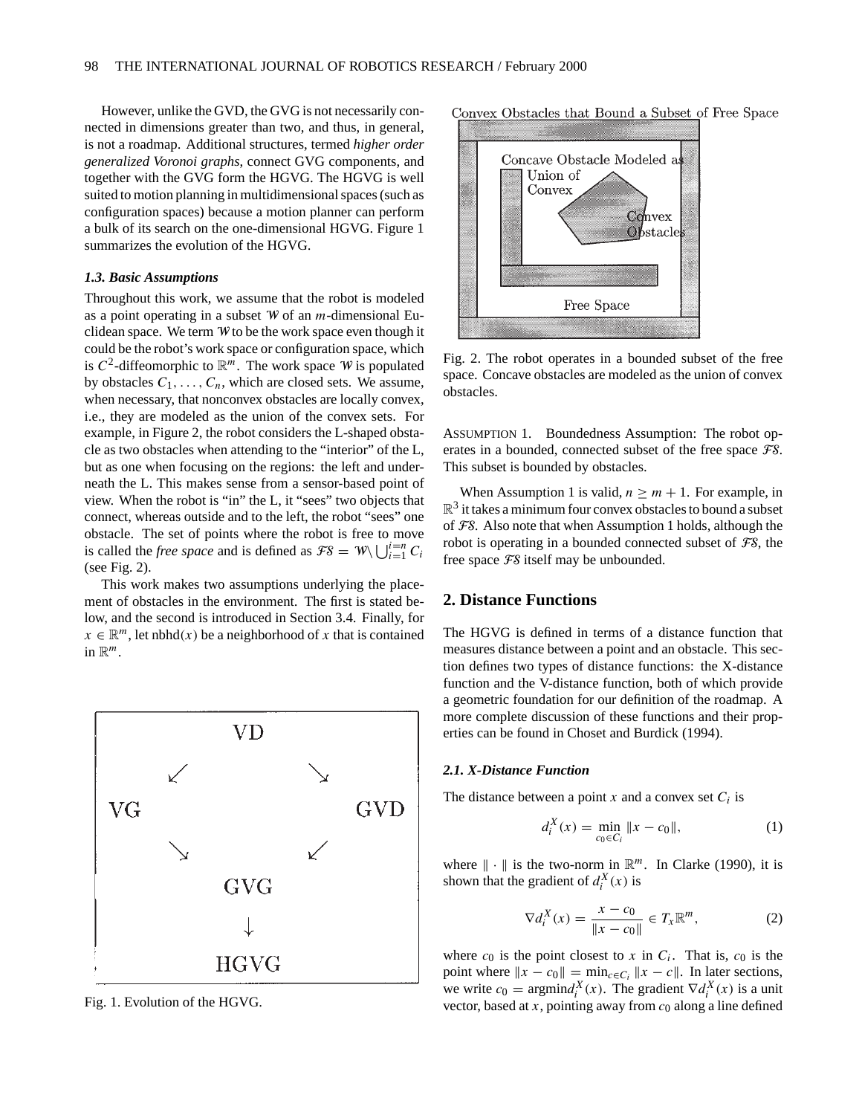However, unlike the GVD, the GVG is not necessarily connected in dimensions greater than two, and thus, in general, is not a roadmap. Additional structures, termed *higher order generalized Voronoi graphs*, connect GVG components, and together with the GVG form the HGVG. The HGVG is well suited to motion planning in multidimensional spaces (such as configuration spaces) because a motion planner can perform a bulk of its search on the one-dimensional HGVG. Figure 1 summarizes the evolution of the HGVG.

## *1.3. Basic Assumptions*

Throughout this work, we assume that the robot is modeled as a point operating in a subset  $W$  of an *m*-dimensional Euclidean space. We term  $W$  to be the work space even though it could be the robot's work space or configuration space, which is  $C^2$ -diffeomorphic to  $\mathbb{R}^m$ . The work space W is populated by obstacles  $C_1, \ldots, C_n$ , which are closed sets. We assume, when necessary, that nonconvex obstacles are locally convex, i.e., they are modeled as the union of the convex sets. For example, in Figure 2, the robot considers the L-shaped obstacle as two obstacles when attending to the "interior" of the L, but as one when focusing on the regions: the left and underneath the L. This makes sense from a sensor-based point of view. When the robot is "in" the L, it "sees" two objects that connect, whereas outside and to the left, the robot "sees" one obstacle. The set of points where the robot is free to move is called the *free space* and is defined as  $F7 = W \setminus \bigcup_{i=1}^{i=n} C_i$ (see Fig. 2).

This work makes two assumptions underlying the placement of obstacles in the environment. The first is stated below, and the second is introduced in Section 3.4. Finally, for  $x \in \mathbb{R}^m$ , let nbhd $(x)$  be a neighborhood of x that is contained in  $\mathbb{R}^m$ .



Fig. 1. Evolution of the HGVG.

Convex Obstacles that Bound a Subset of Free Space



Fig. 2. The robot operates in a bounded subset of the free space. Concave obstacles are modeled as the union of convex obstacles.

ASSUMPTION 1. Boundedness Assumption: The robot operates in a bounded, connected subset of the free space F7. This subset is bounded by obstacles.

When Assumption 1 is valid,  $n \ge m + 1$ . For example, in  $\mathbb{R}^3$  it takes a minimum four convex obstacles to bound a subset of F7. Also note that when Assumption 1 holds, although the robot is operating in a bounded connected subset of  $F7$ , the free space F7 itself may be unbounded.

# **2. Distance Functions**

The HGVG is defined in terms of a distance function that measures distance between a point and an obstacle. This section defines two types of distance functions: the X-distance function and the V-distance function, both of which provide a geometric foundation for our definition of the roadmap. A more complete discussion of these functions and their properties can be found in Choset and Burdick (1994).

## *2.1. X-Distance Function*

The distance between a point  $x$  and a convex set  $C_i$  is

$$
d_i^X(x) = \min_{c_0 \in C_i} \|x - c_0\|,\tag{1}
$$

where  $\|\cdot\|$  is the two-norm in  $\mathbb{R}^m$ . In Clarke (1990), it is shown that the gradient of  $d_i^X(x)$  is

$$
\nabla d_i^X(x) = \frac{x - c_0}{\|x - c_0\|} \in T_x \mathbb{R}^m,
$$
 (2)

where  $c_0$  is the point closest to x in  $C_i$ . That is,  $c_0$  is the point where  $||x - c_0|| = \min_{c \in C_i} ||x - c||$ . In later sections, we write  $c_0 = \text{argmin} d_i^X(x)$ . The gradient  $\nabla d_i^X(x)$  is a unit vector, based at x, pointing away from  $c_0$  along a line defined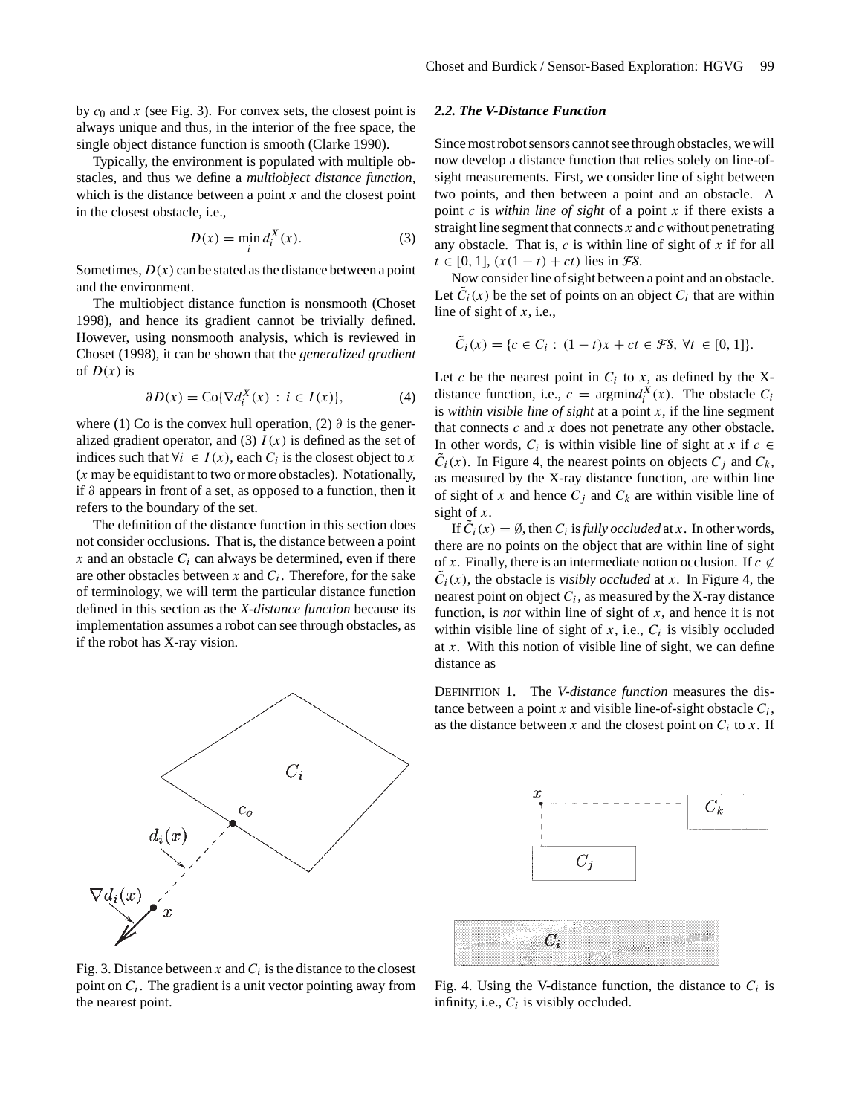by  $c_0$  and x (see Fig. 3). For convex sets, the closest point is always unique and thus, in the interior of the free space, the single object distance function is smooth (Clarke 1990).

Typically, the environment is populated with multiple obstacles, and thus we define a *multiobject distance function*, which is the distance between a point  $x$  and the closest point in the closest obstacle, i.e.,

$$
D(x) = \min_{i} d_i^{X}(x). \tag{3}
$$

Sometimes,  $D(x)$  can be stated as the distance between a point and the environment.

The multiobject distance function is nonsmooth (Choset 1998), and hence its gradient cannot be trivially defined. However, using nonsmooth analysis, which is reviewed in Choset (1998), it can be shown that the *generalized gradient* of  $D(x)$  is

$$
\partial D(x) = \text{Co}\{\nabla d_i^X(x) : i \in I(x)\},\tag{4}
$$

where (1) Co is the convex hull operation, (2)  $\partial$  is the generalized gradient operator, and (3)  $I(x)$  is defined as the set of indices such that  $\forall i \in I(x)$ , each  $C_i$  is the closest object to x (x may be equidistant to two or more obstacles). Notationally, if ∂ appears in front of a set, as opposed to a function, then it refers to the boundary of the set.

The definition of the distance function in this section does not consider occlusions. That is, the distance between a point  $x$  and an obstacle  $C_i$  can always be determined, even if there are other obstacles between x and  $C_i$ . Therefore, for the sake of terminology, we will term the particular distance function defined in this section as the *X-distance function* because its implementation assumes a robot can see through obstacles, as if the robot has X-ray vision.



Fig. 3. Distance between x and  $C_i$  is the distance to the closest point on  $C_i$ . The gradient is a unit vector pointing away from the nearest point.

## *2.2. The V-Distance Function*

Since most robot sensors cannot see through obstacles, we will now develop a distance function that relies solely on line-ofsight measurements. First, we consider line of sight between two points, and then between a point and an obstacle. A point c is *within line of sight* of a point x if there exists a straight line segment that connects  $x$  and  $c$  without penetrating any obstacle. That is,  $c$  is within line of sight of  $x$  if for all  $t \in [0, 1]$ ,  $(x(1 - t) + ct)$  lies in F7.

Now consider line of sight between a point and an obstacle. Let  $C_i(x)$  be the set of points on an object  $C_i$  that are within line of sight of  $x$ , i.e.,

$$
\tilde{C}_i(x) = \{c \in C_i : (1 - t)x + ct \in \mathbb{F}^7, \forall t \in [0, 1]\}.
$$

Let c be the nearest point in  $C_i$  to x, as defined by the Xdistance function, i.e.,  $c = \text{argmin} d_i^X(x)$ . The obstacle  $C_i$ is *within visible line of sight* at a point x, if the line segment that connects  $c$  and  $x$  does not penetrate any other obstacle. In other words,  $C_i$  is within visible line of sight at x if  $c \in$  $\tilde{C}_i(x)$ . In Figure 4, the nearest points on objects  $C_i$  and  $C_k$ , as measured by the X-ray distance function, are within line of sight of x and hence  $C_i$  and  $C_k$  are within visible line of sight of  $x$ .

If  $\tilde{C}_i(x) = \emptyset$ , then  $C_i$  is fully occluded at x. In other words, there are no points on the object that are within line of sight of x. Finally, there is an intermediate notion occlusion. If  $c \notin$  $\tilde{C}_i(x)$ , the obstacle is *visibly occluded* at x. In Figure 4, the nearest point on object  $C_i$ , as measured by the X-ray distance function, is *not* within line of sight of x, and hence it is not within visible line of sight of x, i.e.,  $C_i$  is visibly occluded at  $x$ . With this notion of visible line of sight, we can define distance as

DEFINITION 1. The *V-distance function* measures the distance between a point x and visible line-of-sight obstacle  $C_i$ , as the distance between x and the closest point on  $C_i$  to x. If



Fig. 4. Using the V-distance function, the distance to  $C_i$  is infinity, i.e.,  $C_i$  is visibly occluded.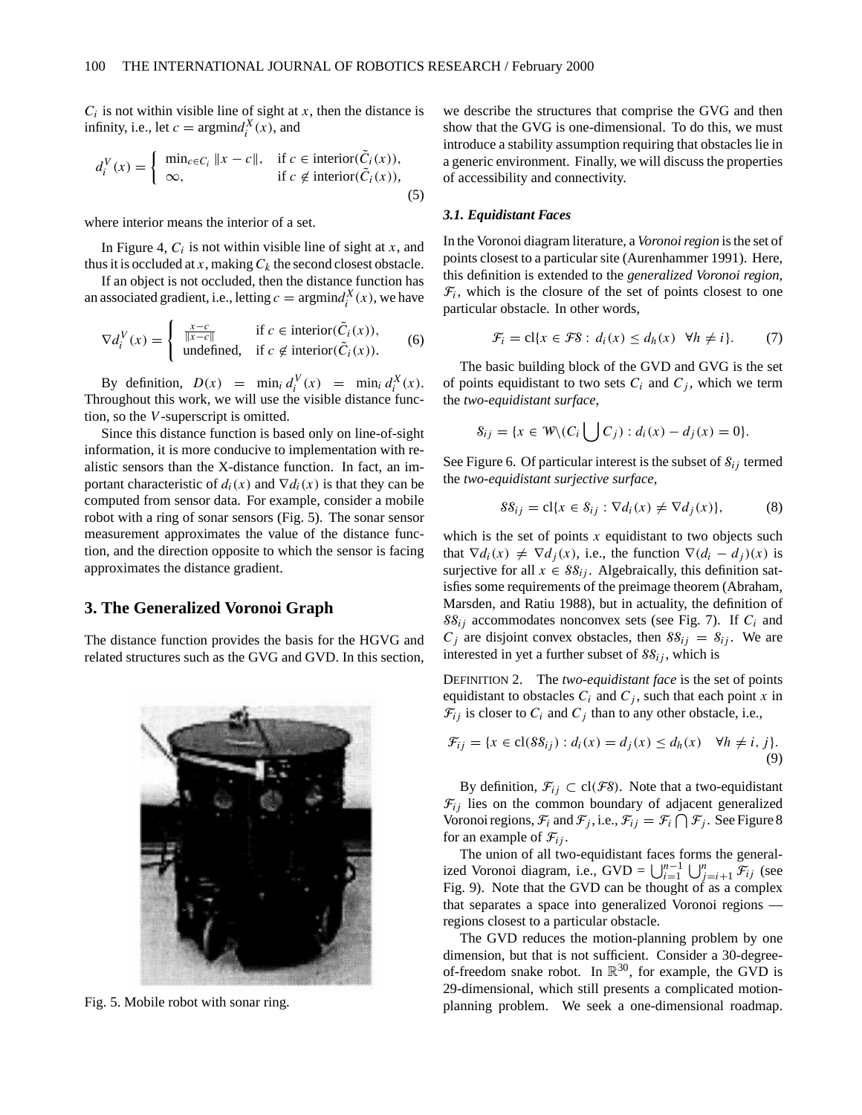$C_i$  is not within visible line of sight at x, then the distance is infinity, i.e., let  $c = \text{argmin} d_i^X(x)$ , and

$$
d_i^V(x) = \begin{cases} \min_{c \in C_i} ||x - c||, & \text{if } c \in \text{interior}(\tilde{C}_i(x)), \\ \infty, & \text{if } c \notin \text{interior}(\tilde{C}_i(x)), \end{cases}
$$
(5)

where interior means the interior of a set.

In Figure 4,  $C_i$  is not within visible line of sight at x, and thus it is occluded at x, making  $C_k$  the second closest obstacle.

If an object is not occluded, then the distance function has an associated gradient, i.e., letting  $c = \text{argmin} d_i^X(x)$ , we have

$$
\nabla d_i^V(x) = \begin{cases} \frac{x-c}{\|x-c\|} & \text{if } c \in \text{interior}(\tilde{C}_i(x)),\\ \text{undefined}, & \text{if } c \notin \text{interior}(\tilde{C}_i(x)). \end{cases} \tag{6}
$$

By definition,  $D(x) = \min_i d_i^V(x) = \min_i d_i^X(x)$ . Throughout this work, we will use the visible distance function, so the V -superscript is omitted.

Since this distance function is based only on line-of-sight information, it is more conducive to implementation with realistic sensors than the X-distance function. In fact, an important characteristic of  $d_i(x)$  and  $\nabla d_i(x)$  is that they can be computed from sensor data. For example, consider a mobile robot with a ring of sonar sensors (Fig. 5). The sonar sensor measurement approximates the value of the distance function, and the direction opposite to which the sensor is facing approximates the distance gradient.

# **3. The Generalized Voronoi Graph**

The distance function provides the basis for the HGVG and related structures such as the GVG and GVD. In this section,



Fig. 5. Mobile robot with sonar ring.

we describe the structures that comprise the GVG and then show that the GVG is one-dimensional. To do this, we must introduce a stability assumption requiring that obstacles lie in a generic environment. Finally, we will discuss the properties of accessibility and connectivity.

#### *3.1. Equidistant Faces*

In the Voronoi diagram literature, a *Voronoi region* is the set of points closest to a particular site (Aurenhammer 1991). Here, this definition is extended to the *generalized Voronoi region,*  $F_i$ , which is the closure of the set of points closest to one particular obstacle. In other words,

$$
\mathsf{F}_i = \mathsf{cl}\{x \in \mathsf{F}7 : d_i(x) \leq d_h(x) \ \forall h \neq i\}.
$$
 (7)

The basic building block of the GVD and GVG is the set of points equidistant to two sets  $C_i$  and  $C_j$ , which we term the *two-equidistant surface*,

$$
7_{ij} = \{x \in \mathbb{W} \setminus (C_i \bigcup C_j) : d_i(x) - d_j(x) = 0\}.
$$

See Figure 6. Of particular interest is the subset of  $7_{ij}$  termed the *two-equidistant surjective surface*,

$$
77_{ij} = \text{cl}\{x \in 7_{ij} : \nabla d_i(x) \neq \nabla d_j(x)\},\tag{8}
$$

which is the set of points  $x$  equidistant to two objects such that  $\nabla d_i(x) \neq \nabla d_i(x)$ , i.e., the function  $\nabla (d_i - d_i)(x)$  is surjective for all  $x \in 77_{ij}$ . Algebraically, this definition satisfies some requirements of the preimage theorem (Abraham, Marsden, and Ratiu 1988), but in actuality, the definition of  $77_{ij}$  accommodates nonconvex sets (see Fig. 7). If  $C_i$  and  $C_i$  are disjoint convex obstacles, then  $77_{ij} = 7_{ij}$ . We are interested in yet a further subset of  $77_{ij}$ , which is

DEFINITION 2. The *two-equidistant face* is the set of points equidistant to obstacles  $C_i$  and  $C_j$ , such that each point x in  $F_{ij}$  is closer to  $C_i$  and  $C_j$  than to any other obstacle, i.e.,

$$
F_{ij} = \{x \in cl(77_{ij}) : d_i(x) = d_j(x) \le d_h(x) \quad \forall h \neq i, j\}.
$$
\n(9)

By definition,  $F_{ij} \subset \text{cl}(F7)$ . Note that a two-equidistant  $F_{ij}$  lies on the common boundary of adjacent generalized Voronoi regions,  $F_i$  and  $F_j$ , i.e.,  $F_{ij} = F_i \bigcap F_j$ . See Figure 8 for an example of  $F_{ii}$ .

The union of all two-equidistant faces forms the generalized Voronoi diagram, i.e., GVD =  $\bigcup_{i=1}^{n-1} \bigcup_{j=i+1}^{n} \overline{F}_{ij}$  (see Fig. 9). Note that the GVD can be thought of as a complex that separates a space into generalized Voronoi regions regions closest to a particular obstacle.

The GVD reduces the motion-planning problem by one dimension, but that is not sufficient. Consider a 30-degreeof-freedom snake robot. In  $\mathbb{R}^{30}$ , for example, the GVD is 29-dimensional, which still presents a complicated motionplanning problem. We seek a one-dimensional roadmap.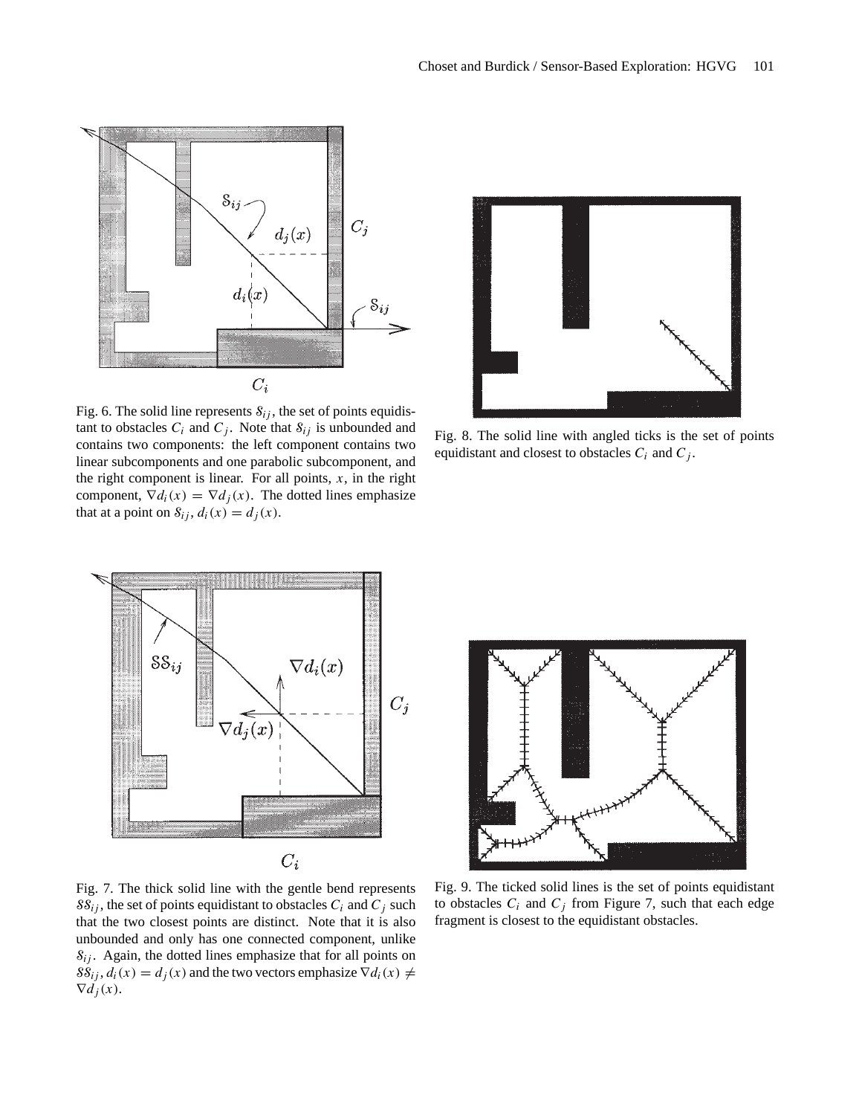

Fig. 6. The solid line represents  $7_{ij}$ , the set of points equidistant to obstacles  $C_i$  and  $C_j$ . Note that  $7_{ij}$  is unbounded and contains two components: the left component contains two linear subcomponents and one parabolic subcomponent, and the right component is linear. For all points,  $x$ , in the right component,  $\nabla d_i(x) = \nabla d_i(x)$ . The dotted lines emphasize that at a point on  $7_{ij}$ ,  $d_i(x) = d_j(x)$ .



Fig. 8. The solid line with angled ticks is the set of points equidistant and closest to obstacles  $C_i$  and  $C_j$ .



Fig. 7. The thick solid line with the gentle bend represents  $77_{ij}$ , the set of points equidistant to obstacles  $C_i$  and  $C_j$  such that the two closest points are distinct. Note that it is also unbounded and only has one connected component, unlike  $7_{ij}$ . Again, the dotted lines emphasize that for all points on  $7\overline{7}_{ij}$ ,  $d_i(x) = d_j(x)$  and the two vectors emphasize  $\nabla d_i(x) \neq$  $\nabla d_i(x)$ .



Fig. 9. The ticked solid lines is the set of points equidistant to obstacles  $C_i$  and  $C_j$  from Figure 7, such that each edge fragment is closest to the equidistant obstacles.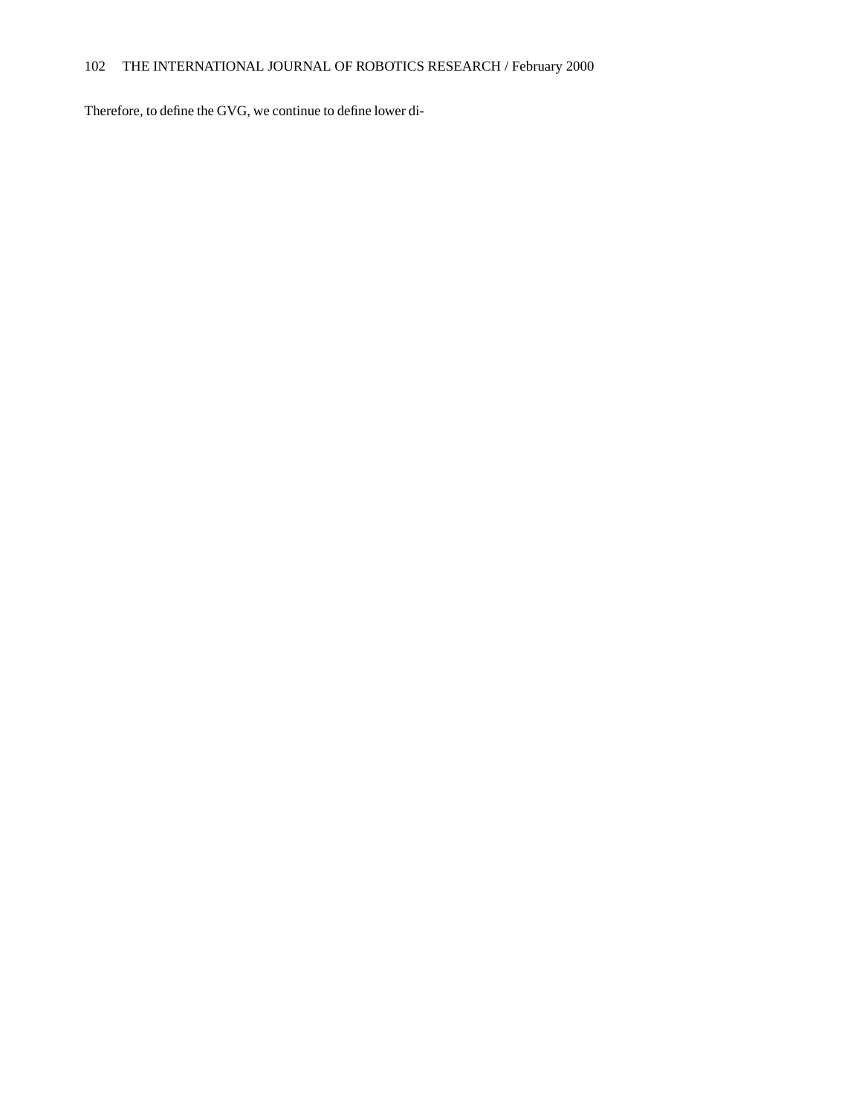Therefore, to define the GVG, we continue to define lower di-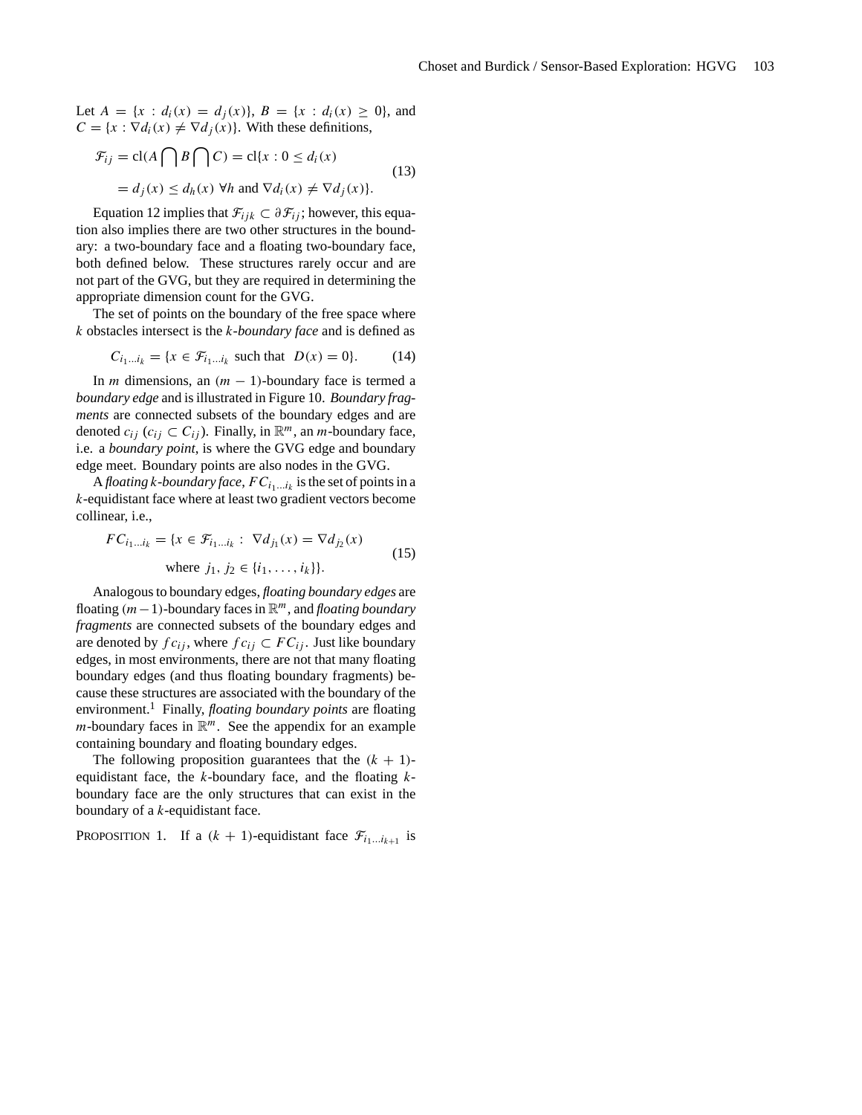Let  $A = \{x : d_i(x) = d_j(x)\}\$ ,  $B = \{x : d_i(x) \ge 0\}$ , and  $C = \{x : \nabla d_i(x) \neq \nabla d_i(x)\}\.$  With these definitions,

$$
F_{ij} = \text{cl}(A \cap B \cap C) = \text{cl}\{x : 0 \le d_i(x)
$$
  
=  $d_j(x) \le d_h(x)$   $\forall h$  and  $\nabla d_i(x) \ne \nabla d_j(x)$ . (13)

Equation 12 implies that  $F_{ijk} \subset \partial F_{ij}$ ; however, this equation also implies there are two other structures in the boundary: a two-boundary face and a floating two-boundary face, both defined below. These structures rarely occur and are not part of the GVG, but they are required in determining the appropriate dimension count for the GVG.

The set of points on the boundary of the free space where k obstacles intersect is the k*-boundary face* and is defined as

$$
C_{i_1...i_k} = \{x \in F_{i_1...i_k} \text{ such that } D(x) = 0\}. \tag{14}
$$

In *m* dimensions, an  $(m - 1)$ -boundary face is termed a *boundary edge* and is illustrated in Figure 10. *Boundary fragments* are connected subsets of the boundary edges and are denoted  $c_{ij}$  ( $c_{ij} \subset C_{ij}$ ). Finally, in  $\mathbb{R}^m$ , an *m*-boundary face, i.e. a *boundary point*, is where the GVG edge and boundary edge meet. Boundary points are also nodes in the GVG.

A *floating* k-boundary face,  $FC_{i_1...i_k}$  is the set of points in a k-equidistant face where at least two gradient vectors become collinear, i.e.,

$$
FC_{i_1...i_k} = \{x \in F_{i_1...i_k} : \nabla d_{j_1}(x) = \nabla d_{j_2}(x) \quad \text{where } j_1, j_2 \in \{i_1, ..., i_k\}\}.
$$
\n(15)

Analogous to boundary edges, *floating boundary edges* are floating (m−1)-boundary faces in Rm, and *floating boundary fragments* are connected subsets of the boundary edges and are denoted by  $fc_{ij}$ , where  $fc_{ij} \subset FC_{ij}$ . Just like boundary edges, in most environments, there are not that many floating boundary edges (and thus floating boundary fragments) because these structures are associated with the boundary of the environment.<sup>1</sup> Finally, *floating boundary points* are floating *m*-boundary faces in  $\mathbb{R}^m$ . See the appendix for an example containing boundary and floating boundary edges.

The following proposition guarantees that the  $(k + 1)$ equidistant face, the  $k$ -boundary face, and the floating  $k$ boundary face are the only structures that can exist in the boundary of a  $k$ -equidistant face.

PROPOSITION 1. If a  $(k + 1)$ -equidistant face  $F_{i_1...i_{k+1}}$  is nonempty, f.k-equidistant f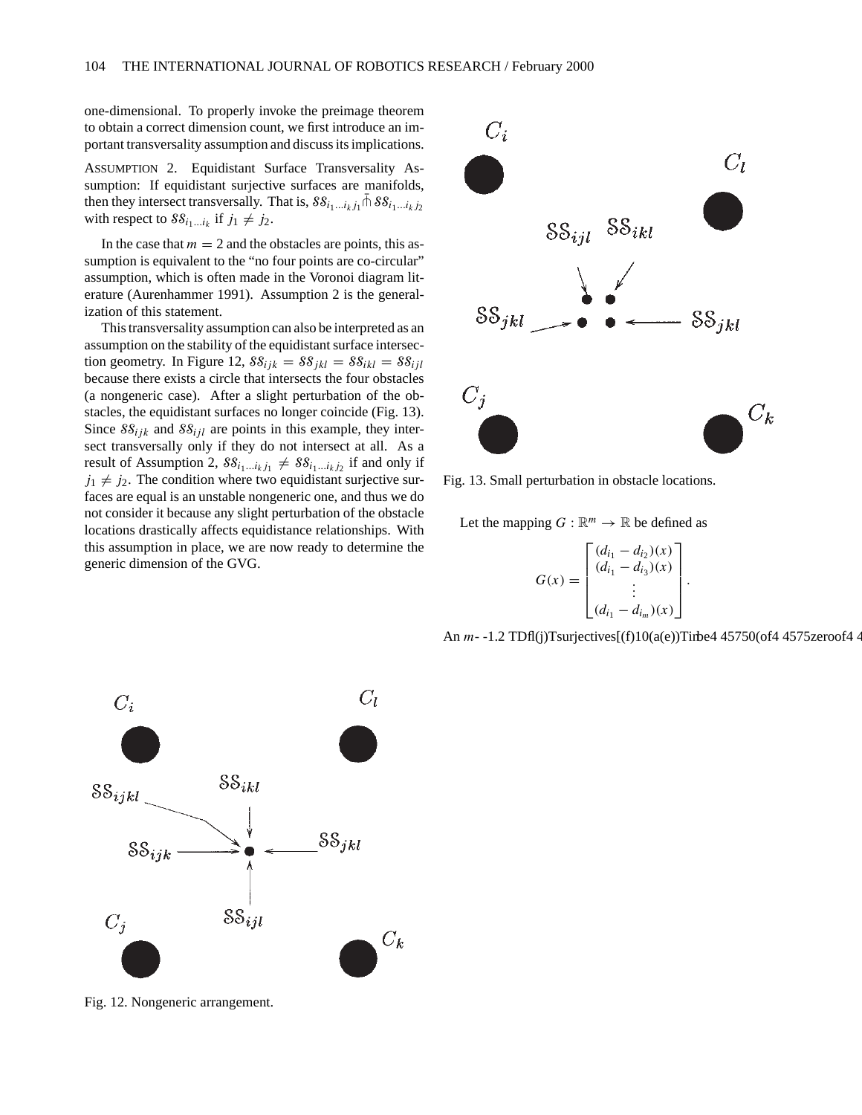one-dimensional. To properly invoke the preimage theorem to obtain a correct dimension count, we first introduce an important transversality assumption and discuss its implications.

ASSUMPTION 2. Equidistant Surface Transversality Assumption: If equidistant surjective surfaces are manifolds, then they intersect transversally. That is,  $77_{i_1...i_k}j_1\overline{\mathbb{A}}$   $77_{i_1...i_k}j_2$ with respect to  $77_{i_1...i_k}$  if  $j_1 \neq j_2$ .

In the case that  $m = 2$  and the obstacles are points, this assumption is equivalent to the "no four points are co-circular" assumption, which is often made in the Voronoi diagram literature (Aurenhammer 1991). Assumption 2 is the generalization of this statement.

This transversality assumption can also be interpreted as an assumption on the stability of the equidistant surface intersection geometry. In Figure 12,  $77_{ijk} = 77_{jkl} = 77_{ikl} = 77_{ijl}$ because there exists a circle that intersects the four obstacles (a nongeneric case). After a slight perturbation of the obstacles, the equidistant surfaces no longer coincide (Fig. 13). Since  $77_{ijk}$  and  $77_{ijl}$  are points in this example, they intersect transversally only if they do not intersect at all. As a result of Assumption 2,  $77_{i_1...i_k j_1} \neq 77_{i_1...i_k j_2}$  if and only if  $j_1 \neq j_2$ . The condition where two equidistant surjective surfaces are equal is an unstable nongeneric one, and thus we do not consider it because any slight perturbation of the obstacle locations drastically affects equidistance relationships. With this assumption in place, we are now ready to determine the generic dimension of the GVG.



Fig. 13. Small perturbation in obstacle locations.

Let the mapping  $G : \mathbb{R}^m \to \mathbb{R}$  be defined as

$$
G(x) = \begin{bmatrix} (d_{i_1} - d_{i_2})(x) \\ (d_{i_1} - d_{i_3})(x) \\ \vdots \\ (d_{i_1} - d_{i_m})(x) \end{bmatrix}.
$$





Fig. 12. Nongeneric arrangement.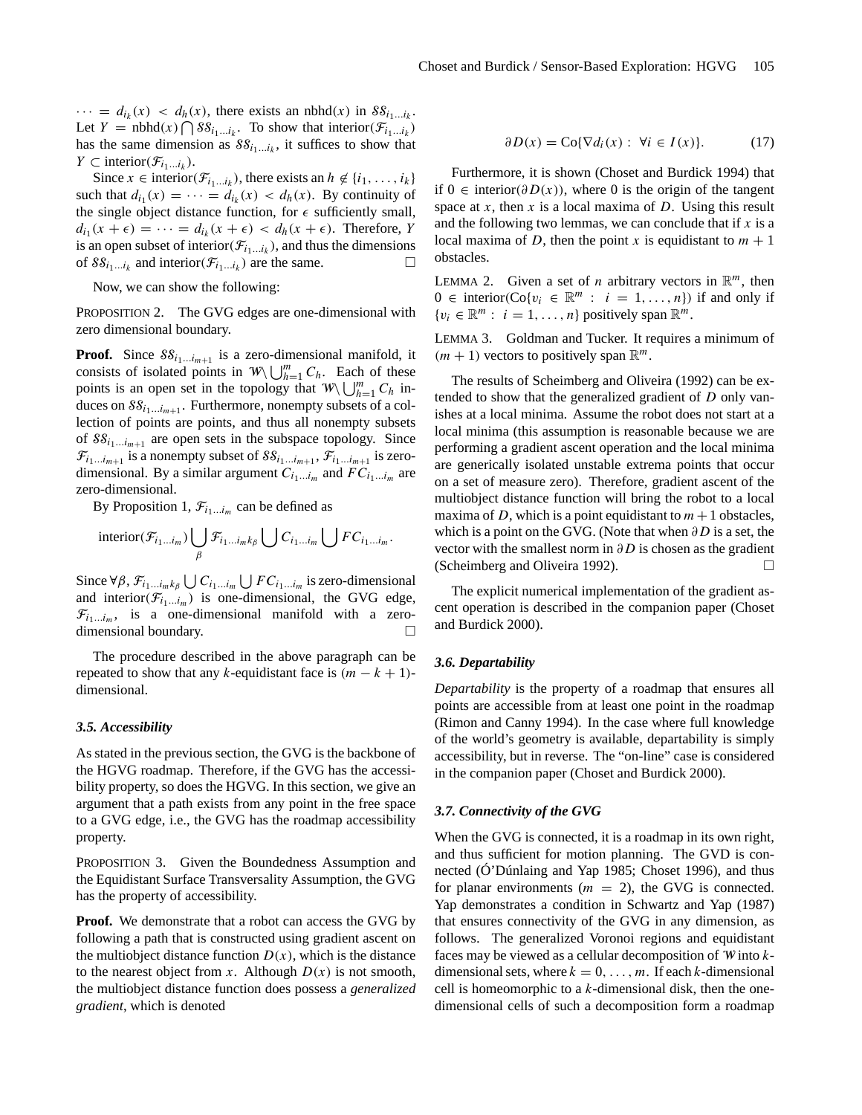$\cdots = d_{i_k}(x) < d_h(x)$ , there exists an nbhd $(x)$  in  $77_{i_1...i_k}$ . Let  $Y = \text{nbhd}(x) \bigcap 77_{i_1...i_k}$ . To show that interior( $F_{i_1...i_k}$ ) has the same dimension as  $77_{i_1...i_k}$ , it suffices to show that  $Y \subset$  interior( $\mathbb{F}_{i_1...i_k}$ ).

Since  $x \in \text{interior}(\mathbb{F}_{i_1...i_k})$ , there exists an  $h \notin \{i_1,...,i_k\}$ such that  $d_{i_1}(x) = \cdots = d_{i_k}(x) < d_h(x)$ . By continuity of the single object distance function, for  $\epsilon$  sufficiently small,  $d_{i_1}(x + \epsilon) = \cdots = d_{i_k}(x + \epsilon) < d_h(x + \epsilon)$ . Therefore, Y is an open subset of interior( $F_{i_1...i_k}$ ), and thus the dimensions of  $77_{i_1...i_k}$  and interior( $F_{i_1...i_k}$ ) are the same.

Now, we can show the following:

PROPOSITION 2. The GVG edges are one-dimensional with zero dimensional boundary.

**Proof.** Since  $77_{i_1...i_{m+1}}$  is a zero-dimensional manifold, it consists of isolated points in  $\mathbb{W}\setminus \bigcup_{h=1}^m C_h$ . Each of these points is an open set in the topology that  $\mathbb{W}\setminus \bigcup_{h=1}^m C_h$  induces on  $77_{i_1...i_{m+1}}$ . Furthermore, nonempty subsets of a collection of points are points, and thus all nonempty subsets of  $77_{i_1...i_{m+1}}$  are open sets in the subspace topology. Since  $F_{i_1...i_{m+1}}$  is a nonempty subset of  $77_{i_1...i_{m+1}}$ ,  $F_{i_1...i_{m+1}}$  is zerodimensional. By a similar argument  $C_{i_1...i_m}$  and  $FC_{i_1...i_m}$  are zero-dimensional.

By Proposition 1,  $F_{i_1...i_m}$  can be defined as

$$
\text{interior}(\sqsubseteq_{i_1\ldots i_m})\bigcup_{\beta}\sqsubseteq_{i_1\ldots i_m k_{\beta}}\bigcup C_{i_1\ldots i_m}\bigcup F C_{i_1\ldots i_m}.
$$

Since  $\forall \beta, \overline{\vdash}_{i_1...i_mk_{\beta}} \bigcup C_{i_1...i_m} \bigcup FC_{i_1...i_m}$  is zero-dimensional and interior( $F_{i_1...i_m}$ ) is one-dimensional, the GVG edge,  $F_{i_1...i_m}$ , is a one-dimensional manifold with a zerodimensional boundary.

The procedure described in the above paragraph can be repeated to show that any k-equidistant face is  $(m - k + 1)$ dimensional.

#### *3.5. Accessibility*

As stated in the previous section, the GVG is the backbone of the HGVG roadmap. Therefore, if the GVG has the accessibility property, so does the HGVG. In this section, we give an argument that a path exists from any point in the free space to a GVG edge, i.e., the GVG has the roadmap accessibility property.

PROPOSITION 3. Given the Boundedness Assumption and the Equidistant Surface Transversality Assumption, the GVG has the property of accessibility.

**Proof.** We demonstrate that a robot can access the GVG by following a path that is constructed using gradient ascent on the multiobject distance function  $D(x)$ , which is the distance to the nearest object from x. Although  $D(x)$  is not smooth, the multiobject distance function does possess a *generalized gradient*, which is denoted

$$
\partial D(x) = \text{Co}\{\nabla d_i(x) : \forall i \in I(x)\}.
$$
 (17)

Furthermore, it is shown (Choset and Burdick 1994) that if 0 ∈ interior( $\partial D(x)$ ), where 0 is the origin of the tangent space at x, then x is a local maxima of  $D$ . Using this result and the following two lemmas, we can conclude that if  $x$  is a local maxima of D, then the point x is equidistant to  $m + 1$ obstacles.

LEMMA 2. Given a set of *n* arbitrary vectors in  $\mathbb{R}^m$ , then  $0 \in \text{interior}(\text{Co}\{v_i \in \mathbb{R}^m : i = 1, ..., n\})$  if and only if  $\{v_i \in \mathbb{R}^m : i = 1, \ldots, n\}$  positively span  $\mathbb{R}^m$ .

LEMMA 3. Goldman and Tucker. It requires a minimum of  $(m + 1)$  vectors to positively span  $\mathbb{R}^m$ .

The results of Scheimberg and Oliveira (1992) can be extended to show that the generalized gradient of D only vanishes at a local minima. Assume the robot does not start at a local minima (this assumption is reasonable because we are performing a gradient ascent operation and the local minima are generically isolated unstable extrema points that occur on a set of measure zero). Therefore, gradient ascent of the multiobject distance function will bring the robot to a local maxima of D, which is a point equidistant to  $m+1$  obstacles, which is a point on the GVG. (Note that when  $\partial D$  is a set, the vector with the smallest norm in  $\partial D$  is chosen as the gradient (Scheimberg and Oliveira 1992).

The explicit numerical implementation of the gradient ascent operation is described in the companion paper (Choset and Burdick 2000).

#### *3.6. Departability*

*Departability* is the property of a roadmap that ensures all points are accessible from at least one point in the roadmap (Rimon and Canny 1994). In the case where full knowledge of the world's geometry is available, departability is simply accessibility, but in reverse. The "on-line" case is considered in the companion paper (Choset and Burdick 2000).

# *3.7. Connectivity of the GVG*

When the GVG is connected, it is a roadmap in its own right, and thus sufficient for motion planning. The GVD is connected (Ó'Dúnlaing and Yap 1985; Choset 1996), and thus for planar environments ( $m = 2$ ), the GVG is connected. Yap demonstrates a condition in Schwartz and Yap (1987) that ensures connectivity of the GVG in any dimension, as follows. The generalized Voronoi regions and equidistant faces may be viewed as a cellular decomposition of  $W$  into  $k$ dimensional sets, where  $k = 0, \ldots, m$ . If each k-dimensional cell is homeomorphic to a  $k$ -dimensional disk, then the onedimensional cells of such a decomposition form a roadmap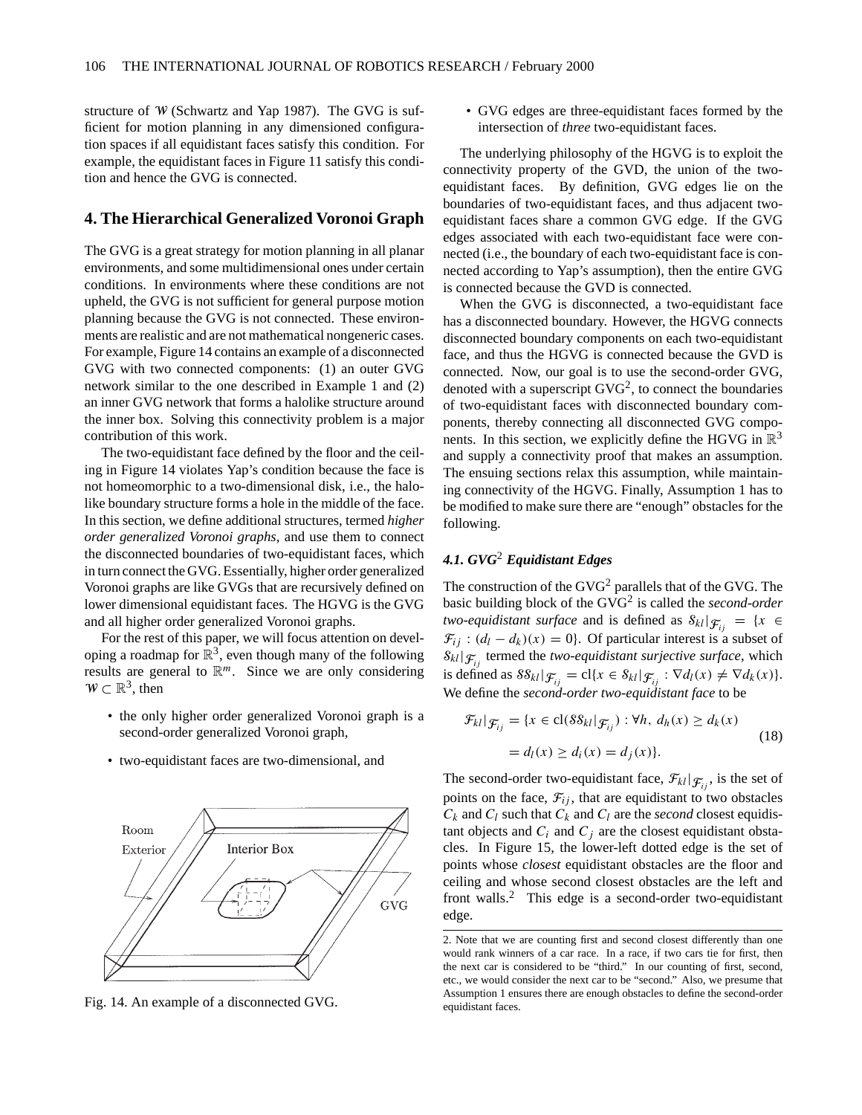structure of W (Schwartz and Yap 1987). The GVG is sufficient for motion planning in any dimensioned configuration spaces if all equidistant faces satisfy this condition. For example, the equidistant faces in Figure 11 satisfy this condition and hence the GVG is connected.

# **4. The Hierarchical Generalized Voronoi Graph**

The GVG is a great strategy for motion planning in all planar environments, and some multidimensional ones under certain conditions. In environments where these conditions are not upheld, the GVG is not sufficient for general purpose motion planning because the GVG is not connected. These environments are realistic and are not mathematical nongeneric cases. For example, Figure 14 contains an example of a disconnected GVG with two connected components: (1) an outer GVG network similar to the one described in Example 1 and (2) an inner GVG network that forms a halolike structure around the inner box. Solving this connectivity problem is a major contribution of this work.

The two-equidistant face defined by the floor and the ceiling in Figure 14 violates Yap's condition because the face is not homeomorphic to a two-dimensional disk, i.e., the halolike boundary structure forms a hole in the middle of the face. In this section, we define additional structures, termed *higher order generalized Voronoi graphs*, and use them to connect the disconnected boundaries of two-equidistant faces, which in turn connect the GVG. Essentially, higher order generalized Voronoi graphs are like GVGs that are recursively defined on lower dimensional equidistant faces. The HGVG is the GVG and all higher order generalized Voronoi graphs.

For the rest of this paper, we will focus attention on developing a roadmap for  $\mathbb{R}^3$ , even though many of the following results are general to  $\mathbb{R}^m$ . Since we are only considering  $W \subset \mathbb{R}^3$ , then

- the only higher order generalized Voronoi graph is a second-order generalized Voronoi graph,
- two-equidistant faces are two-dimensional, and



**Interior Box** 

Fig. 14. An example of a disconnected GVG.

Room

Exterior

• GVG edges are three-equidistant faces formed by the intersection of *three* two-equidistant faces.

The underlying philosophy of the HGVG is to exploit the connectivity property of the GVD, the union of the twoequidistant faces. By definition, GVG edges lie on the boundaries of two-equidistant faces, and thus adjacent twoequidistant faces share a common GVG edge. If the GVG edges associated with each two-equidistant face were connected (i.e., the boundary of each two-equidistant face is connected according to Yap's assumption), then the entire GVG is connected because the GVD is connected.

When the GVG is disconnected, a two-equidistant face has a disconnected boundary. However, the HGVG connects disconnected boundary components on each two-equidistant face, and thus the HGVG is connected because the GVD is connected. Now, our goal is to use the second-order GVG, denoted with a superscript  $GVG<sup>2</sup>$ , to connect the boundaries of two-equidistant faces with disconnected boundary components, thereby connecting all disconnected GVG components. In this section, we explicitly define the HGVG in  $\mathbb{R}^3$ and supply a connectivity proof that makes an assumption. The ensuing sections relax this assumption, while maintaining connectivity of the HGVG. Finally, Assumption 1 has to be modified to make sure there are "enough" obstacles for the following.

# *4.1. GVG*<sup>2</sup> *Equidistant Edges*

The construction of the  $GVG<sup>2</sup>$  parallels that of the GVG. The basic building block of the GVG<sup>2</sup> is called the *second-order two-equidistant surface* and is defined as  $7_{kl}|_{F_{ij}} = \{x \in$  $F_{ij}$ :  $(d_l - d_k)(x) = 0$ . Of particular interest is a subset of  $7_{kl}|_{\left\lfloor \frac{n}{l} \right\rfloor}$  termed the *two-equidistant surjective surface*, which is defined as  $77_{kl} |_{\sqsubseteq_{ij}} = \text{cl}\{x \in 7_{kl} |_{\sqsubseteq_{ij}} : \nabla d_l(x) \neq \nabla d_k(x)\}.$ We define the *second-order two-equidistant face* to be

$$
F_{kl}|_{F_{ij}} = \{x \in \text{cl}(77_{kl}|_{F_{ij}}) : \forall h, d_h(x) \ge d_k(x) \}
$$
  
=  $d_l(x) \ge d_i(x) = d_j(x)\}.$  (18)

The second-order two-equidistant face,  $F_{kl}|_{F_{ij}}$ , is the set of points on the face,  $F_{ij}$ , that are equidistant to two obstacles  $C_k$  and  $C_l$  such that  $C_k$  and  $C_l$  are the *second* closest equidistant objects and  $C_i$  and  $C_j$  are the closest equidistant obstacles. In Figure 15, the lower-left dotted edge is the set of points whose *closest* equidistant obstacles are the floor and ceiling and whose second closest obstacles are the left and front walls.<sup>2</sup> This edge is a second-order two-equidistant edge.

<sup>2.</sup> Note that we are counting first and second closest differently than one would rank winners of a car race. In a race, if two cars tie for first, then the next car is considered to be "third." In our counting of first, second, etc., we would consider the next car to be "second." Also, we presume that Assumption 1 ensures there are enough obstacles to define the second-order equidistant faces.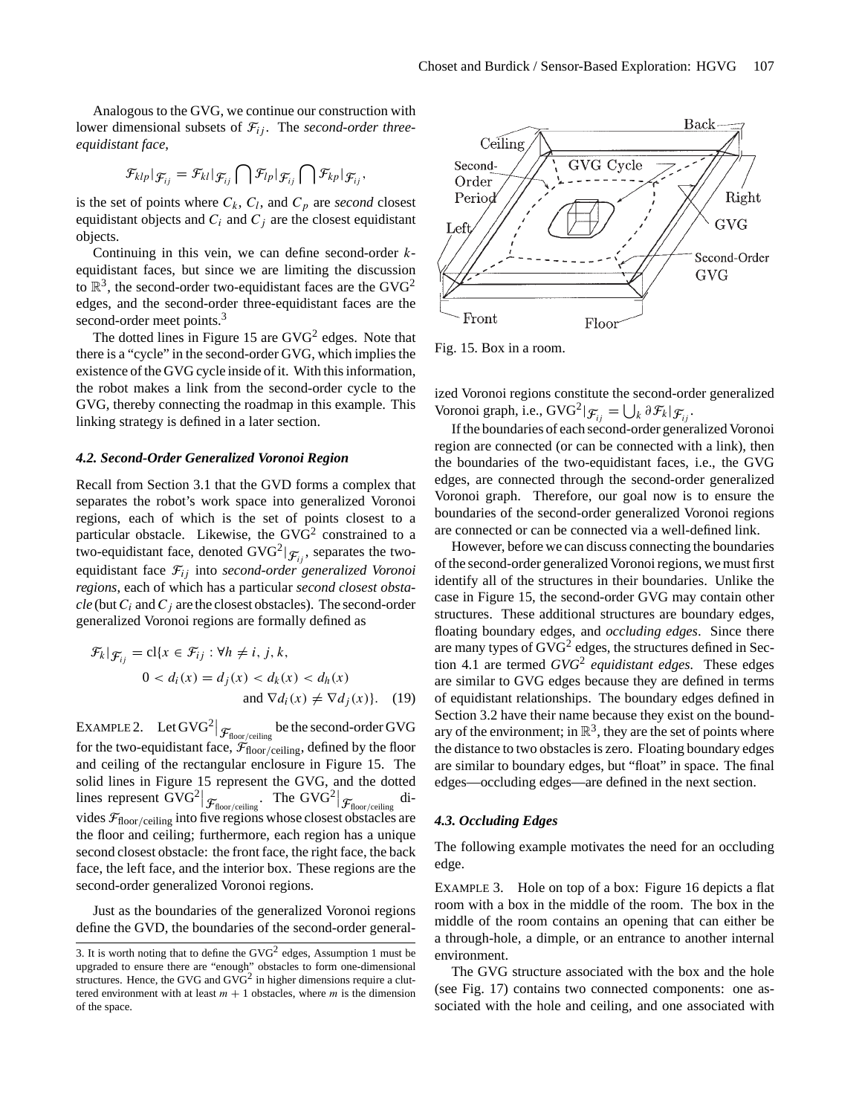Analogous to the GVG, we continue our construction with lower dimensional subsets of  $F_{ij}$ . The *second-order threeequidistant face*,

$$
\mathsf{F}_{klp}|\mathsf{F}_{ij}=\mathsf{F}_{kl}|\mathsf{F}_{ij}\bigcap\mathsf{F}_{lp}|\mathsf{F}_{ij}\bigcap\mathsf{F}_{kp}|\mathsf{F}_{ij},
$$

is the set of points where  $C_k$ ,  $C_l$ , and  $C_p$  are *second* closest equidistant objects and  $C_i$  and  $C_j$  are the closest equidistant objects.

Continuing in this vein, we can define second-order  $k$ equidistant faces, but since we are limiting the discussion to  $\mathbb{R}^3$ , the second-order two-equidistant faces are the GVG<sup>2</sup> edges, and the second-order three-equidistant faces are the second-order meet points.<sup>3</sup>

The dotted lines in Figure 15 are  $GVG<sup>2</sup>$  edges. Note that there is a "cycle" in the second-order GVG, which implies the existence of the GVG cycle inside of it. With this information, the robot makes a link from the second-order cycle to the GVG, thereby connecting the roadmap in this example. This linking strategy is defined in a later section.

#### *4.2. Second-Order Generalized Voronoi Region*

Recall from Section 3.1 that the GVD forms a complex that separates the robot's work space into generalized Voronoi regions, each of which is the set of points closest to a particular obstacle. Likewise, the GVG<sup>2</sup> constrained to a two-equidistant face, denoted GVG<sup>2</sup> $|F_{ij}|$ , separates the twoequidistant face Fij into *second-order generalized Voronoi regions*, each of which has a particular *second closest obstacle* (but  $C_i$  and  $C_j$  are the closest obstacles). The second-order generalized Voronoi regions are formally defined as

$$
F_k|_{F_{ij}} = cl\{x \in F_{ij} : \forall h \neq i, j, k, 0 < d_h(x) = d_j(x) < d_k(x) < d_h(x) \text{ and } \nabla d_i(x) \neq \nabla d_j(x) \}. \tag{19}
$$

EXAMPLE 2. Let  $\text{GVG}^2\big|_{\text{F}_{\text{floor}/\text{ceiling}}}$  be the second-order GVG for the two-equidistant face,  $F_{\text{floor}/\text{ceiling}}$ , defined by the floor and ceiling of the rectangular enclosure in Figure 15. The solid lines in Figure 15 represent the GVG, and the dotted lines represent  $\text{GVG}^2\vert_{\text{F}_{\text{floor}/\text{ceiling}}}.$  The  $\text{GVG}^2\vert_{\text{F}_{\text{floor}/\text{ceiling}}}$  divides  $F_{floor/ceiling}$  into five regions whose closest obstacles are the floor and ceiling; furthermore, each region has a unique second closest obstacle: the front face, the right face, the back face, the left face, and the interior box. These regions are the second-order generalized Voronoi regions.

Just as the boundaries of the generalized Voronoi regions define the GVD, the boundaries of the second-order general-



Fig. 15. Box in a room.

ized Voronoi regions constitute the second-order generalized Voronoi graph, i.e.,  $\text{GVG}^2|_{\text{F}_{ij}} = \bigcup_k \partial \text{F}_k|_{\text{F}_{ij}}$ .

If the boundaries of each second-order generalized Voronoi region are connected (or can be connected with a link), then the boundaries of the two-equidistant faces, i.e., the GVG edges, are connected through the second-order generalized Voronoi graph. Therefore, our goal now is to ensure the boundaries of the second-order generalized Voronoi regions are connected or can be connected via a well-defined link.

However, before we can discuss connecting the boundaries of the second-order generalized Voronoi regions, we must first identify all of the structures in their boundaries. Unlike the case in Figure 15, the second-order GVG may contain other structures. These additional structures are boundary edges, floating boundary edges, and *occluding edges*. Since there are many types of  $GVG<sup>2</sup>$  edges, the structures defined in Section 4.1 are termed *GVG*<sup>2</sup> *equidistant edges.* These edges are similar to GVG edges because they are defined in terms of equidistant relationships. The boundary edges defined in Section 3.2 have their name because they exist on the boundary of the environment; in  $\mathbb{R}^3$ , they are the set of points where the distance to two obstacles is zero. Floating boundary edges are similar to boundary edges, but "float" in space. The final edges—occluding edges—are defined in the next section.

#### *4.3. Occluding Edges*

The following example motivates the need for an occluding edge.

EXAMPLE 3. Hole on top of a box: Figure 16 depicts a flat room with a box in the middle of the room. The box in the middle of the room contains an opening that can either be a through-hole, a dimple, or an entrance to another internal environment.

The GVG structure associated with the box and the hole (see Fig. 17) contains two connected components: one associated with the hole and ceiling, and one associated with

<sup>3.</sup> It is worth noting that to define the  $GVG^2$  edges, Assumption 1 must be upgraded to ensure there are "enough" obstacles to form one-dimensional structures. Hence, the GVG and  $\overrightarrow{GVG}^2$  in higher dimensions require a cluttered environment with at least  $m + 1$  obstacles, where m is the dimension of the space.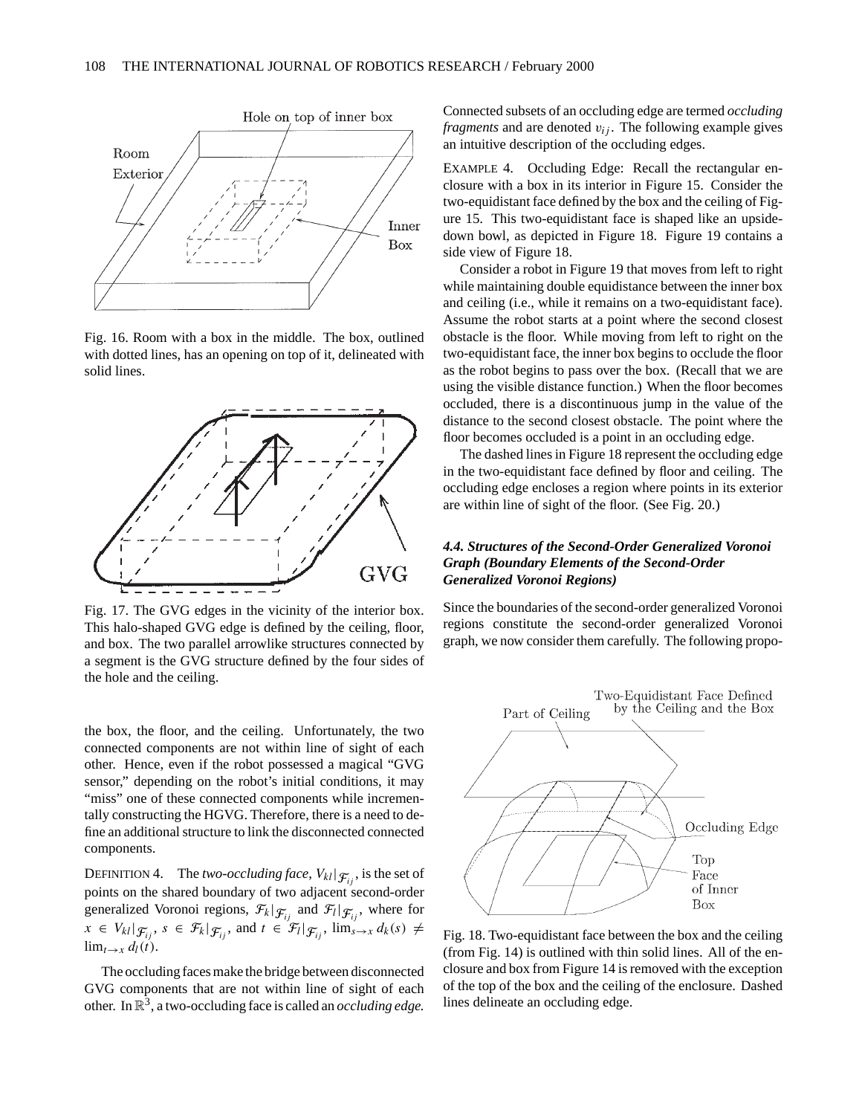

Fig. 16. Room with a box in the middle. The box, outlined with dotted lines, has an opening on top of it, delineated with solid lines.



Fig. 17. The GVG edges in the vicinity of the interior box. This halo-shaped GVG edge is defined by the ceiling, floor, and box. The two parallel arrowlike structures connected by a segment is the GVG structure defined by the four sides of the hole and the ceiling.

the box, the floor, and the ceiling. Unfortunately, the two connected components are not within line of sight of each other. Hence, even if the robot possessed a magical "GVG sensor," depending on the robot's initial conditions, it may "miss" one of these connected components while incrementally constructing the HGVG. Therefore, there is a need to define an additional structure to link the disconnected connected components.

DEFINITION 4. The *two-occluding face*,  $V_{kl}|_{\bigcap_{ij}}$ , is the set of points on the shared boundary of two adjacent second-order generalized Voronoi regions,  $F_k|_{F_{ij}}$  and  $F_l|_{F_{ij}}$ , where for  $x \in V_{kl}|_{\bigcap_{ij}, s \in \bigcap_{k} \big|_{\bigcap_{ij}, s \text{ and } t \in \bigcap_{l} \big|_{\bigcap_{ij}, s \text{ } } \lim_{s \to x} d_k(s)} \neq$  $\lim_{t\to x} d_l(t)$ .

The occluding faces make the bridge between disconnected GVG components that are not within line of sight of each other. In  $\mathbb{R}^3$ , a two-occluding face is called an *occluding edge*.

Connected subsets of an occluding edge are termed *occluding fragments* and are denoted  $v_{ij}$ . The following example gives an intuitive description of the occluding edges.

EXAMPLE 4. Occluding Edge: Recall the rectangular enclosure with a box in its interior in Figure 15. Consider the two-equidistant face defined by the box and the ceiling of Figure 15. This two-equidistant face is shaped like an upsidedown bowl, as depicted in Figure 18. Figure 19 contains a side view of Figure 18.

Consider a robot in Figure 19 that moves from left to right while maintaining double equidistance between the inner box and ceiling (i.e., while it remains on a two-equidistant face). Assume the robot starts at a point where the second closest obstacle is the floor. While moving from left to right on the two-equidistant face, the inner box begins to occlude the floor as the robot begins to pass over the box. (Recall that we are using the visible distance function.) When the floor becomes occluded, there is a discontinuous jump in the value of the distance to the second closest obstacle. The point where the floor becomes occluded is a point in an occluding edge.

The dashed lines in Figure 18 represent the occluding edge in the two-equidistant face defined by floor and ceiling. The occluding edge encloses a region where points in its exterior are within line of sight of the floor. (See Fig. 20.)

# *4.4. Structures of the Second-Order Generalized Voronoi Graph (Boundary Elements of the Second-Order Generalized Voronoi Regions)*

Since the boundaries of the second-order generalized Voronoi regions constitute the second-order generalized Voronoi graph, we now consider them carefully. The following propo-



Fig. 18. Two-equidistant face between the box and the ceiling (from Fig. 14) is outlined with thin solid lines. All of the enclosure and box from Figure 14 is removed with the exception of the top of the box and the ceiling of the enclosure. Dashed lines delineate an occluding edge.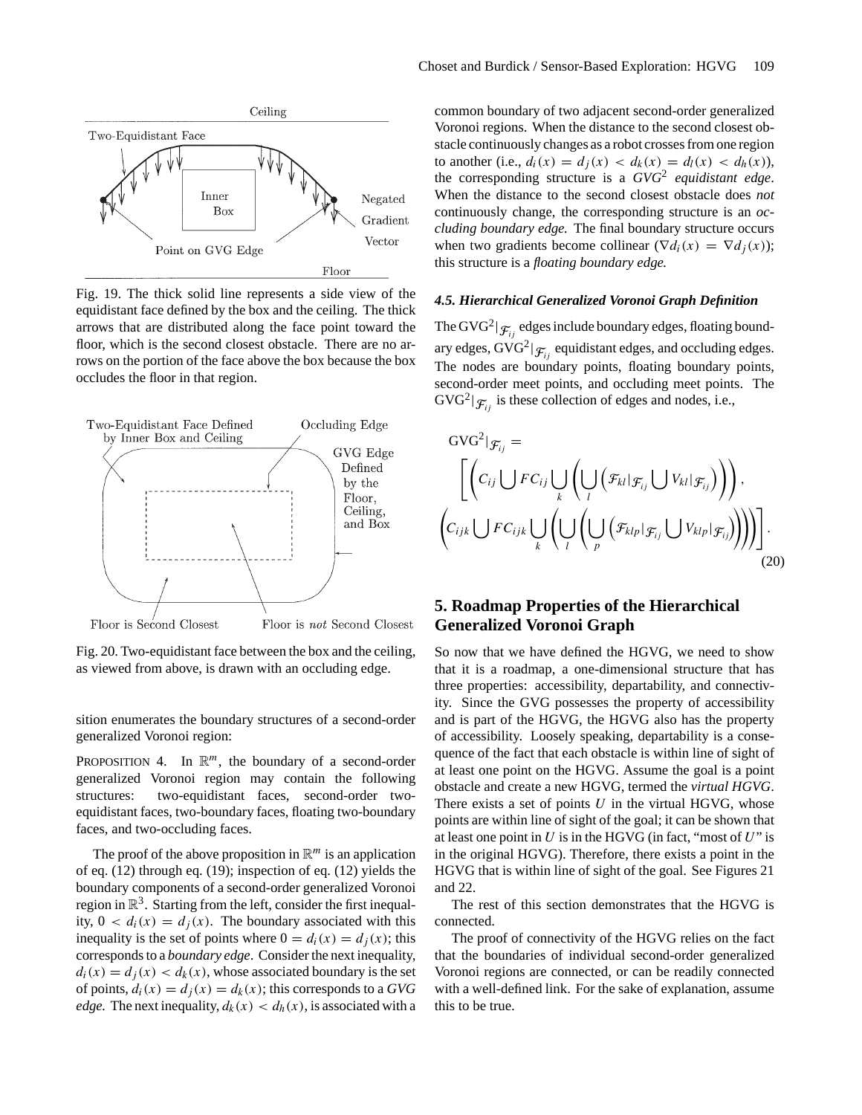

Fig. 19. The thick solid line represents a side view of the equidistant face defined by the box and the ceiling. The thick arrows that are distributed along the face point toward the floor, which is the second closest obstacle. There are no arrows on the portion of the face above the box because the box occludes the floor in that region.



Fig. 20. Two-equidistant face between the box and the ceiling, as viewed from above, is drawn with an occluding edge.

sition enumerates the boundary structures of a second-order generalized Voronoi region:

PROPOSITION 4. In  $\mathbb{R}^m$ , the boundary of a second-order generalized Voronoi region may contain the following structures: two-equidistant faces, second-order twoequidistant faces, two-boundary faces, floating two-boundary faces, and two-occluding faces.

The proof of the above proposition in  $\mathbb{R}^m$  is an application of eq. (12) through eq. (19); inspection of eq. (12) yields the boundary components of a second-order generalized Voronoi region in  $\mathbb{R}^3$ . Starting from the left, consider the first inequality,  $0 < d_i(x) = d_i(x)$ . The boundary associated with this inequality is the set of points where  $0 = d_i(x) = d_i(x)$ ; this corresponds to a *boundary edge*. Consider the next inequality,  $d_i(x) = d_i(x) < d_k(x)$ , whose associated boundary is the set of points,  $d_i(x) = d_j(x) = d_k(x)$ ; this corresponds to a *GVG edge.* The next inequality,  $d_k(x) < d_h(x)$ , is associated with a common boundary of two adjacent second-order generalized Voronoi regions. When the distance to the second closest obstacle continuously changes as a robot crosses from one region to another (i.e.,  $d_i(x) = d_i(x) < d_k(x) = d_l(x) < d_h(x)$ ), the corresponding structure is a *GVG*<sup>2</sup> *equidistant edge*. When the distance to the second closest obstacle does *not* continuously change, the corresponding structure is an *occluding boundary edge.* The final boundary structure occurs when two gradients become collinear ( $\nabla d_i(x) = \nabla d_i(x)$ ); this structure is a *floating boundary edge.*

#### *4.5. Hierarchical Generalized Voronoi Graph Definition*

The GVG $^2 \vert_{\bigmp_{ij}}$  edges include boundary edges, floating boundary edges,  $\text{GVG}^2|_{\text{F}_{ij}}$  equidistant edges, and occluding edges. The nodes are boundary points, floating boundary points, second-order meet points, and occluding meet points. The  $\text{GVG}^2|_{\bigcap_{ij}}$  is these collection of edges and nodes, i.e.,

$$
GVG^{2}|_{F_{ij}} = \left[ \left( C_{ij} \bigcup_{F} FC_{ij} \bigcup_{k} \left( \bigcup_{l} \left( F_{kl} |_{F_{ij}} \bigcup_{k} V_{kl} |_{F_{ij}} \right) \right) \right), \left( C_{ijk} \bigcup_{f} FC_{ijk} \bigcup_{k} \left( \bigcup_{l} \left( \bigcup_{p} \left( F_{klp} |_{F_{ij}} \bigcup_{k} V_{klp} |_{F_{ij}} \right) \right) \right) \right) \right].
$$
\n(20)

# **5. Roadmap Properties of the Hierarchical Generalized Voronoi Graph**

So now that we have defined the HGVG, we need to show that it is a roadmap, a one-dimensional structure that has three properties: accessibility, departability, and connectivity. Since the GVG possesses the property of accessibility and is part of the HGVG, the HGVG also has the property of accessibility. Loosely speaking, departability is a consequence of the fact that each obstacle is within line of sight of at least one point on the HGVG. Assume the goal is a point obstacle and create a new HGVG, termed the *virtual HGVG*. There exists a set of points  $U$  in the virtual HGVG, whose points are within line of sight of the goal; it can be shown that at least one point in  $U$  is in the HGVG (in fact, "most of  $U$ " is in the original HGVG). Therefore, there exists a point in the HGVG that is within line of sight of the goal. See Figures 21 and 22.

The rest of this section demonstrates that the HGVG is connected.

The proof of connectivity of the HGVG relies on the fact that the boundaries of individual second-order generalized Voronoi regions are connected, or can be readily connected with a well-defined link. For the sake of explanation, assume this to be true.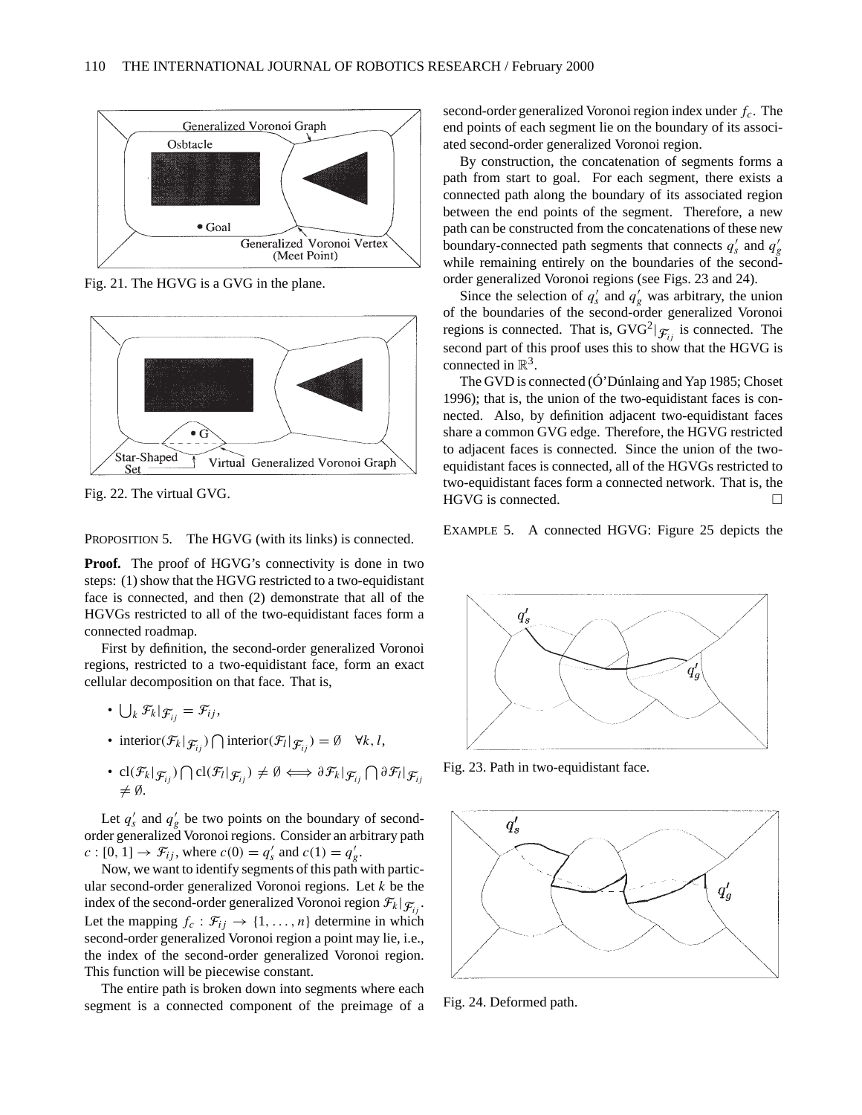

Fig. 21. The HGVG is a GVG in the plane.



Fig. 22. The virtual GVG.

PROPOSITION 5. The HGVG (with its links) is connected.

**Proof.** The proof of HGVG's connectivity is done in two steps: (1) show that the HGVG restricted to a two-equidistant face is connected, and then (2) demonstrate that all of the HGVGs restricted to all of the two-equidistant faces form a connected roadmap.

First by definition, the second-order generalized Voronoi regions, restricted to a two-equidistant face, form an exact cellular decomposition on that face. That is,

- $\bigcup_k F_k|_{F_{ij}} = F_{ij},$
- interior( $F_k|_{F_{ij}}$ )  $\bigcap$  interior( $F_l|_{F_{ij}}$ ) = Ø  $\forall k, l$ ,
- cl( $F_k|_{F_{ij}}$ )  $\bigcap$  cl( $F_l|_{F_{ij}}$ )  $\neq \emptyset \iff \partial F_k|_{F_{ij}} \bigcap \partial F_l|_{F_{ij}}$  $\neq \emptyset$ .

Let  $q'_s$  and  $q'_g$  be two points on the boundary of secondorder generalized Voronoi regions. Consider an arbitrary path  $c : [0, 1] \to F_{ij}$ , where  $c(0) = q'_{s}$  and  $c(1) = q'_{g}$ .

Now, we want to identify segments of this path with particular second-order generalized Voronoi regions. Let  $k$  be the index of the second-order generalized Voronoi region  $F_k|_{F_{ij}}$ . Let the mapping  $f_c : F_{ij} \to \{1, \ldots, n\}$  determine in which second-order generalized Voronoi region a point may lie, i.e., the index of the second-order generalized Voronoi region. This function will be piecewise constant.

The entire path is broken down into segments where each segment is a connected component of the preimage of a second-order generalized Voronoi region index under  $f_c$ . The end points of each segment lie on the boundary of its associated second-order generalized Voronoi region.

By construction, the concatenation of segments forms a path from start to goal. For each segment, there exists a connected path along the boundary of its associated region between the end points of the segment. Therefore, a new path can be constructed from the concatenations of these new boundary-connected path segments that connects  $q'_{s}$  and  $q'_{g}$ while remaining entirely on the boundaries of the secondorder generalized Voronoi regions (see Figs. 23 and 24).

Since the selection of  $q'_{s}$  and  $q'_{g}$  was arbitrary, the union of the boundaries of the second-order generalized Voronoi regions is connected. That is,  $GVG^{2}|_{\bigcap_{ij}}$  is connected. The second part of this proof uses this to show that the HGVG is connected in  $\mathbb{R}^3$ .

The GVD is connected (Ó'Dúnlaing and Yap 1985; Choset 1996); that is, the union of the two-equidistant faces is connected. Also, by definition adjacent two-equidistant faces share a common GVG edge. Therefore, the HGVG restricted to adjacent faces is connected. Since the union of the twoequidistant faces is connected, all of the HGVGs restricted to two-equidistant faces form a connected network. That is, the HGVG is connected.

#### EXAMPLE 5. A connected HGVG: Figure 25 depicts the



Fig. 23. Path in two-equidistant face.



Fig. 24. Deformed path.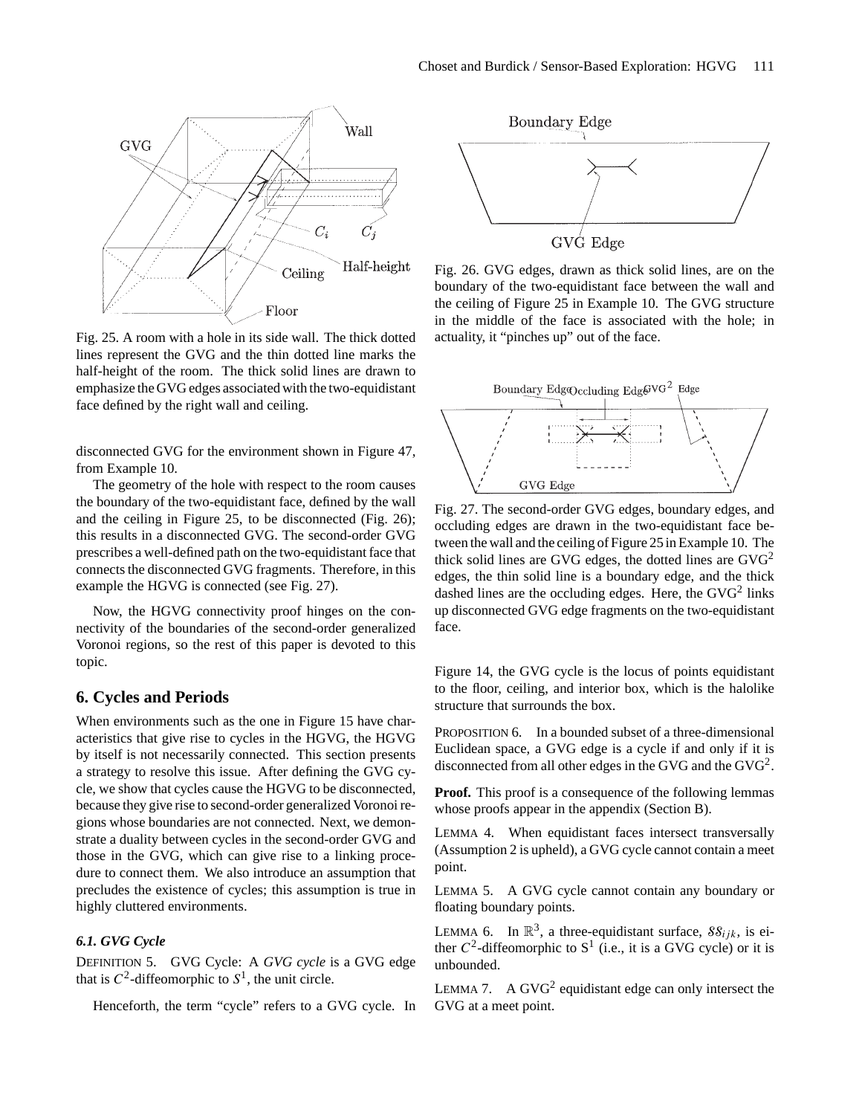

Fig. 25. A room with a hole in its side wall. The thick dotted lines represent the GVG and the thin dotted line marks the half-height of the room. The thick solid lines are drawn to emphasize the GVG edges associated with the two-equidistant face defined by the right wall and ceiling.

disconnected GVG for the environment shown in Figure 47, from Example 10.

The geometry of the hole with respect to the room causes the boundary of the two-equidistant face, defined by the wall and the ceiling in Figure 25, to be disconnected (Fig. 26); this results in a disconnected GVG. The second-order GVG prescribes a well-defined path on the two-equidistant face that connects the disconnected GVG fragments. Therefore, in this example the HGVG is connected (see Fig. 27).

Now, the HGVG connectivity proof hinges on the connectivity of the boundaries of the second-order generalized Voronoi regions, so the rest of this paper is devoted to this topic.

# **6. Cycles and Periods**

When environments such as the one in Figure 15 have characteristics that give rise to cycles in the HGVG, the HGVG by itself is not necessarily connected. This section presents a strategy to resolve this issue. After defining the GVG cycle, we show that cycles cause the HGVG to be disconnected, because they give rise to second-order generalized Voronoi regions whose boundaries are not connected. Next, we demonstrate a duality between cycles in the second-order GVG and those in the GVG, which can give rise to a linking procedure to connect them. We also introduce an assumption that precludes the existence of cycles; this assumption is true in highly cluttered environments.

## *6.1. GVG Cycle*

DEFINITION 5. GVG Cycle: A *GVG cycle* is a GVG edge that is  $C^2$ -diffeomorphic to  $S^1$ , the unit circle.

Henceforth, the term "cycle" refers to a GVG cycle. In



Fig. 26. GVG edges, drawn as thick solid lines, are on the boundary of the two-equidistant face between the wall and the ceiling of Figure 25 in Example 10. The GVG structure in the middle of the face is associated with the hole; in actuality, it "pinches up" out of the face.



Fig. 27. The second-order GVG edges, boundary edges, and occluding edges are drawn in the two-equidistant face between the wall and the ceiling of Figure 25 in Example 10. The thick solid lines are GVG edges, the dotted lines are  $GVG<sup>2</sup>$ edges, the thin solid line is a boundary edge, and the thick dashed lines are the occluding edges. Here, the  $GVG<sup>2</sup>$  links up disconnected GVG edge fragments on the two-equidistant face.

Figure 14, the GVG cycle is the locus of points equidistant to the floor, ceiling, and interior box, which is the halolike structure that surrounds the box.

PROPOSITION 6. In a bounded subset of a three-dimensional Euclidean space, a GVG edge is a cycle if and only if it is disconnected from all other edges in the GVG and the GVG2.

**Proof.** This proof is a consequence of the following lemmas whose proofs appear in the appendix (Section B).

LEMMA 4. When equidistant faces intersect transversally (Assumption 2 is upheld), a GVG cycle cannot contain a meet point.

LEMMA 5. A GVG cycle cannot contain any boundary or floating boundary points.

LEMMA 6. In  $\mathbb{R}^3$ , a three-equidistant surface,  $77_{ijk}$ , is either  $C^2$ -diffeomorphic to  $S^1$  (i.e., it is a GVG cycle) or it is unbounded.

LEMMA 7. A  $GVG^2$  equidistant edge can only intersect the GVG at a meet point.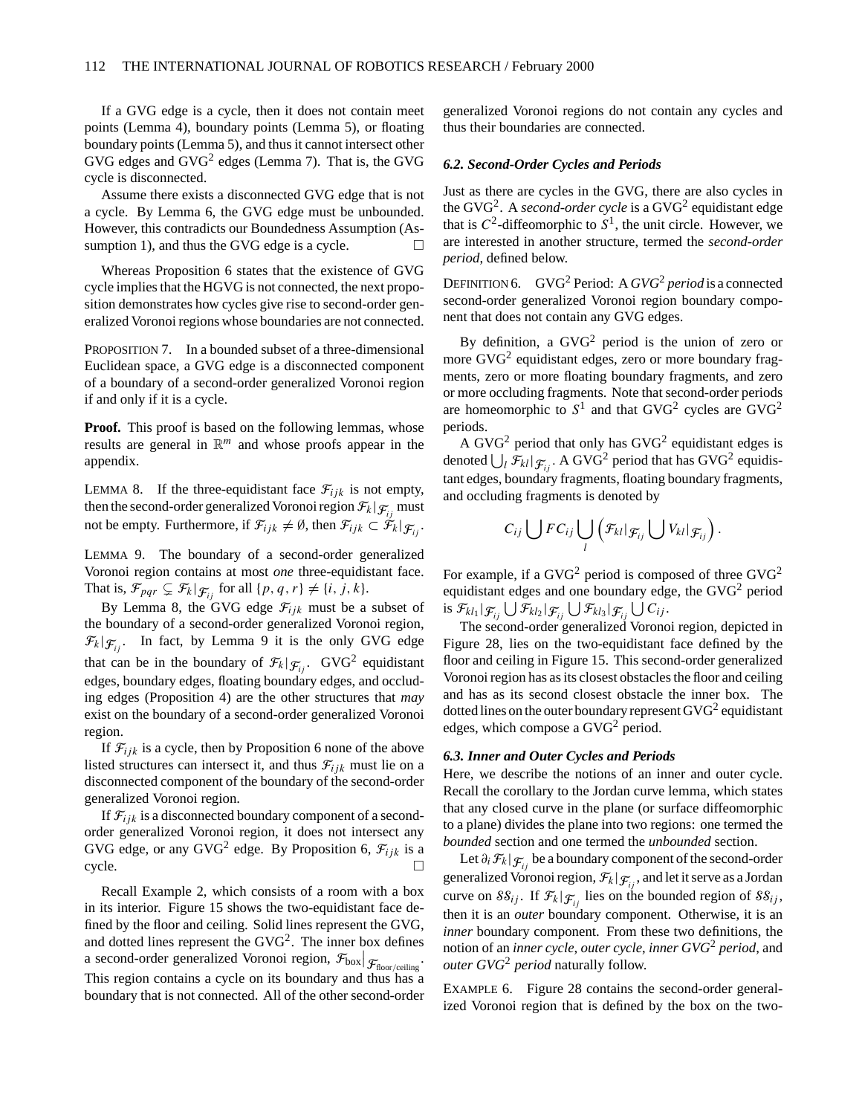If a GVG edge is a cycle, then it does not contain meet points (Lemma 4), boundary points (Lemma 5), or floating boundary points (Lemma 5), and thus it cannot intersect other GVG edges and  $GVG<sup>2</sup>$  edges (Lemma 7). That is, the GVG cycle is disconnected.

Assume there exists a disconnected GVG edge that is not a cycle. By Lemma 6, the GVG edge must be unbounded. However, this contradicts our Boundedness Assumption (Assumption 1), and thus the GVG edge is a cycle.  $\Box$ 

Whereas Proposition 6 states that the existence of GVG cycle implies that the HGVG is not connected, the next proposition demonstrates how cycles give rise to second-order generalized Voronoi regions whose boundaries are not connected.

PROPOSITION 7. In a bounded subset of a three-dimensional Euclidean space, a GVG edge is a disconnected component of a boundary of a second-order generalized Voronoi region if and only if it is a cycle.

**Proof.** This proof is based on the following lemmas, whose results are general in  $\mathbb{R}^m$  and whose proofs appear in the appendix.

LEMMA 8. If the three-equidistant face  $F_{ijk}$  is not empty, then the second-order generalized Voronoi region  $\mathsf{F}_k|_{\mathsf{F}_{ij}}$  must not be empty. Furthermore, if  $F_{ijk} \neq \emptyset$ , then  $F_{ijk} \subset F_k|_{F_{ij}}$ .

LEMMA 9. The boundary of a second-order generalized Voronoi region contains at most *one* three-equidistant face. That is,  $\mathbb{F}_{pqr} \subsetneq \mathbb{F}_k |_{\mathbb{F}_{ij}}$  for all  $\{p, q, r\} \neq \{i, j, k\}.$ 

By Lemma 8, the GVG edge  $F_{ijk}$  must be a subset of the boundary of a second-order generalized Voronoi region,  $F_k|_{F_{ij}}$ . In fact, by Lemma 9 it is the only GVG edge that can be in the boundary of  $F_k|_{F_{ij}}$ . GVG<sup>2</sup> equidistant edges, boundary edges, floating boundary edges, and occluding edges (Proposition 4) are the other structures that *may* exist on the boundary of a second-order generalized Voronoi region.

If  $F_{ijk}$  is a cycle, then by Proposition 6 none of the above listed structures can intersect it, and thus  $F_{ijk}$  must lie on a disconnected component of the boundary of the second-order generalized Voronoi region.

If  $F_{ijk}$  is a disconnected boundary component of a secondorder generalized Voronoi region, it does not intersect any GVG edge, or any GVG<sup>2</sup> edge. By Proposition 6,  $F_{ijk}$  is a cycle.

Recall Example 2, which consists of a room with a box in its interior. Figure 15 shows the two-equidistant face defined by the floor and ceiling. Solid lines represent the GVG, and dotted lines represent the GVG<sup>2</sup>. The inner box defines a second-order generalized Voronoi region,  $\mathbb{F}_{\text{box}}|_{\mathbb{F}_{\text{floor/celling}}}.$ This region contains a cycle on its boundary and thus has a boundary that is not connected. All of the other second-order generalized Voronoi regions do not contain any cycles and thus their boundaries are connected.

## *6.2. Second-Order Cycles and Periods*

Just as there are cycles in the GVG, there are also cycles in the GVG2. A *second-order cycle* is a GVG2 equidistant edge that is  $C^2$ -diffeomorphic to  $S^1$ , the unit circle. However, we are interested in another structure, termed the *second-order period*, defined below.

DEFINITION 6. GVG2 Period: A *GVG*<sup>2</sup> *period* is a connected second-order generalized Voronoi region boundary component that does not contain any GVG edges.

By definition, a  $GVG<sup>2</sup>$  period is the union of zero or more  $GVG<sup>2</sup>$  equidistant edges, zero or more boundary fragments, zero or more floating boundary fragments, and zero or more occluding fragments. Note that second-order periods are homeomorphic to  $S^1$  and that GVG<sup>2</sup> cycles are GVG<sup>2</sup> periods.

A GVG<sup>2</sup> period that only has  $GVG<sup>2</sup>$  equidistant edges is denoted  $\bigcup_l \mathsf{F}_{kl}|\mathsf{F}_{ij}$ . A GVG<sup>2</sup> period that has GVG<sup>2</sup> equidistant edges, boundary fragments, floating boundary fragments, and occluding fragments is denoted by

$$
C_{ij}\bigcup FC_{ij}\bigcup_l\bigl(\mathsf{F}_{kl}|_{\mathsf{F}_{ij}}\bigcup V_{kl}|_{\mathsf{F}_{ij}}\bigl).
$$

For example, if a  $GVG^2$  period is composed of three  $GVG^2$ equidistant edges and one boundary edge, the  $GVG<sup>2</sup>$  period is  $\begin{aligned} \mathsf{F}_{kl_1}|_{\sqsubseteq_{ij}} \bigcup \mathsf{F}_{kl_2}|_{\sqsubseteq_{ij}} \bigcup \mathsf{F}_{kl_3}|_{\sqsubseteq_{ij}} \bigcup C_{ij}. \end{aligned}$ 

The second-order generalized Voronoi region, depicted in Figure 28, lies on the two-equidistant face defined by the floor and ceiling in Figure 15. This second-order generalized Voronoi region has as its closest obstacles the floor and ceiling and has as its second closest obstacle the inner box. The dotted lines on the outer boundary represent  $GVG<sup>2</sup>$  equidistant edges, which compose a GVG<sup>2</sup> period.

## *6.3. Inner and Outer Cycles and Periods*

Here, we describe the notions of an inner and outer cycle. Recall the corollary to the Jordan curve lemma, which states that any closed curve in the plane (or surface diffeomorphic to a plane) divides the plane into two regions: one termed the *bounded* section and one termed the *unbounded* section.

Let  $\partial_i \mathsf{F}_k|_{\mathsf{F}_{ij}}$  be a boundary component of the second-order generalized Voronoi region,  $\mathsf{F}_k|_{\mathsf{F}_{ij}}$ , and let it serve as a Jordan curve on 77<sub>*ij*</sub>. If  $F_k|_{F_{ij}}$  lies on the bounded region of 77<sub>*ij*</sub>, then it is an *outer* boundary component. Otherwise, it is an *inner* boundary component. From these two definitions, the notion of an *inner cycle*, *outer cycle*, *inner GVG*<sup>2</sup> *period*, and *outer GVG*<sup>2</sup> *period* naturally follow.

EXAMPLE 6. Figure 28 contains the second-order generalized Voronoi region that is defined by the box on the two-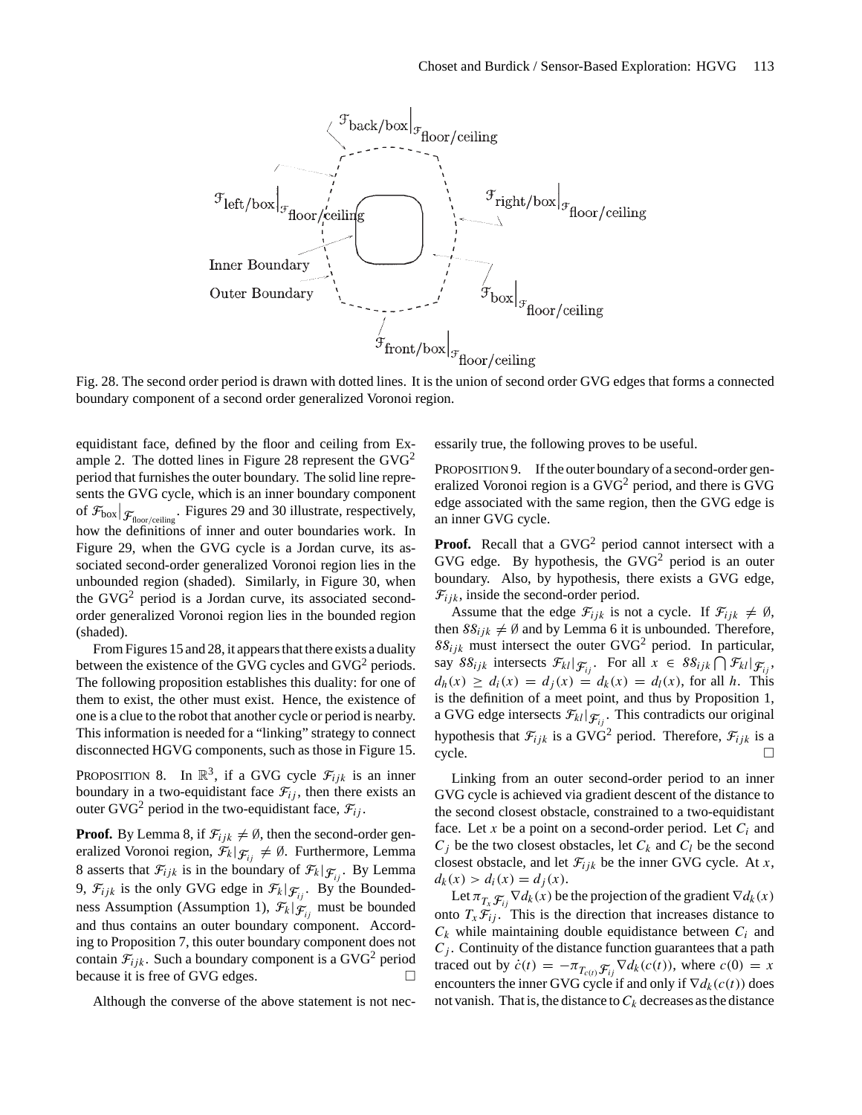

Fig. 28. The second order period is drawn with dotted lines. It is the union of second order GVG edges that forms a connected boundary component of a second order generalized Voronoi region.

equidistant face, defined by the floor and ceiling from Example 2. The dotted lines in Figure 28 represent the  $GVG<sup>2</sup>$ period that furnishes the outer boundary. The solid line represents the GVG cycle, which is an inner boundary component of  $\left. \frac{\text{F}_{\text{box}}}{\text{F}_{\text{floor/celling}}} \right.$  Figures 29 and 30 illustrate, respectively, how the definitions of inner and outer boundaries work. In Figure 29, when the GVG cycle is a Jordan curve, its associated second-order generalized Voronoi region lies in the unbounded region (shaded). Similarly, in Figure 30, when the  $GVG<sup>2</sup>$  period is a Jordan curve, its associated secondorder generalized Voronoi region lies in the bounded region (shaded).

From Figures 15 and 28, it appears that there exists a duality between the existence of the GVG cycles and GVG<sup>2</sup> periods. The following proposition establishes this duality: for one of them to exist, the other must exist. Hence, the existence of one is a clue to the robot that another cycle or period is nearby. This information is needed for a "linking" strategy to connect disconnected HGVG components, such as those in Figure 15.

PROPOSITION 8. In  $\mathbb{R}^3$ , if a GVG cycle  $F_{ijk}$  is an inner boundary in a two-equidistant face  $F_{ij}$ , then there exists an outer GVG<sup>2</sup> period in the two-equidistant face,  $F_{ii}$ .

**Proof.** By Lemma 8, if  $F_{ijk} \neq \emptyset$ , then the second-order generalized Voronoi region,  $F_k|_{F_{ij}} \neq \emptyset$ . Furthermore, Lemma 8 asserts that  $F_{ijk}$  is in the boundary of  $F_k|_{F_{ij}}$ . By Lemma 9,  $F_{ijk}$  is the only GVG edge in  $F_k|_{F_{ij}}$ . By the Boundedness Assumption (Assumption 1),  $F_k|_{F_{ij}}$  must be bounded and thus contains an outer boundary component. According to Proposition 7, this outer boundary component does not contain  $F_{ijk}$ . Such a boundary component is a GVG<sup>2</sup> period because it is free of GVG edges.

Although the converse of the above statement is not nec-

essarily true, the following proves to be useful.

PROPOSITION 9. If the outer boundary of a second-order generalized Voronoi region is a  $GVG<sup>2</sup>$  period, and there is  $GVG$ edge associated with the same region, then the GVG edge is an inner GVG cycle.

**Proof.** Recall that a GVG<sup>2</sup> period cannot intersect with a GVG edge. By hypothesis, the GVG2 period is an outer boundary. Also, by hypothesis, there exists a GVG edge,  $F_{ijk}$ , inside the second-order period.

Assume that the edge  $F_{ijk}$  is not a cycle. If  $F_{ijk} \neq \emptyset$ , then  $77_{ijk} \neq \emptyset$  and by Lemma 6 it is unbounded. Therefore,  $77_{ijk}$  must intersect the outer GVG<sup>2</sup> period. In particular, say  $77_{ijk}$  intersects  $F_{kl}|_{F_{ij}}$ . For all  $x \in 77_{ijk} \cap F_{kl}|_{F_{ij}}$ ,  $d_h(x) \ge d_i(x) = d_i(x) = d_k(x) = d_l(x)$ , for all h. This is the definition of a meet point, and thus by Proposition 1, a GVG edge intersects  $F_{kl}|_{F_{ij}}$ . This contradicts our original hypothesis that  $F_{ijk}$  is a GVG<sup>2</sup> period. Therefore,  $F_{ijk}$  is a  $\Box$ 

Linking from an outer second-order period to an inner GVG cycle is achieved via gradient descent of the distance to the second closest obstacle, constrained to a two-equidistant face. Let x be a point on a second-order period. Let  $C_i$  and  $C_i$  be the two closest obstacles, let  $C_k$  and  $C_l$  be the second closest obstacle, and let  $F_{ijk}$  be the inner GVG cycle. At x,  $d_k(x) > d_i(x) = d_j(x)$ .

Let  $\pi_{T_x \sqsubset_{ij}} \nabla d_k(x)$  be the projection of the gradient  $\nabla d_k(x)$ onto  $T_x \overline{F}_{ij}$ . This is the direction that increases distance to  $C_k$  while maintaining double equidistance between  $C_i$  and  $C_i$ . Continuity of the distance function guarantees that a path traced out by  $\dot{c}(t) = -\pi_{T_{c(t)} \sqsubset_{ij} \nabla d_k(c(t))}$ , where  $c(0) = x$ encounters the inner GVG cycle if and only if  $\nabla d_k(c(t))$  does not vanish. That is, the distance to  $C_k$  decreases as the distance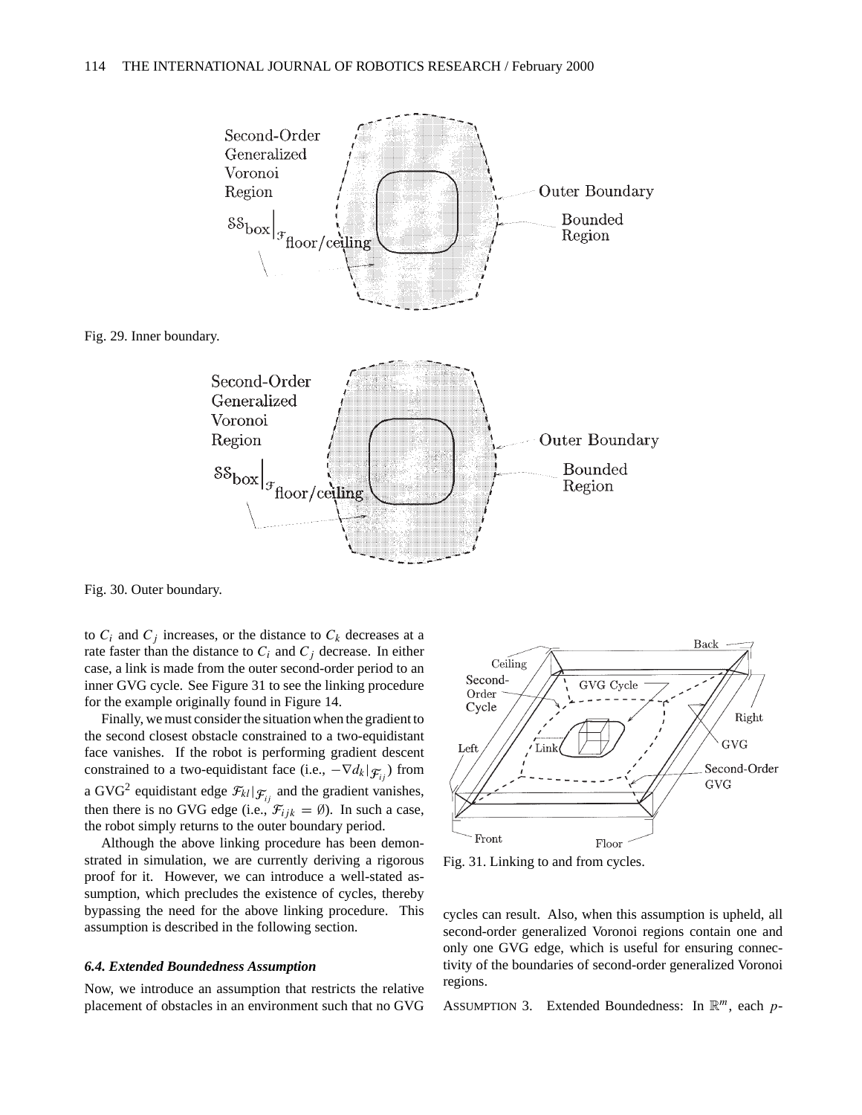

Fig. 30. Outer boundary.

to  $C_i$  and  $C_j$  increases, or the distance to  $C_k$  decreases at a rate faster than the distance to  $C_i$  and  $C_j$  decrease. In either case, a link is made from the outer second-order period to an inner GVG cycle. See Figure 31 to see the linking procedure for the example originally found in Figure 14.

Finally, we must consider the situation when the gradient to the second closest obstacle constrained to a two-equidistant face vanishes. If the robot is performing gradient descent constrained to a two-equidistant face (i.e.,  $-\nabla d_k|_{\sqsubset_{ij}}$ ) from a GVG<sup>2</sup> equidistant edge  $F_{kl}|_{F_{ij}}$  and the gradient vanishes, then there is no GVG edge (i.e.,  $F_{ijk} = \emptyset$ ). In such a case, the robot simply returns to the outer boundary period.

Although the above linking procedure has been demonstrated in simulation, we are currently deriving a rigorous proof for it. However, we can introduce a well-stated assumption, which precludes the existence of cycles, thereby bypassing the need for the above linking procedure. This assumption is described in the following section.

## *6.4. Extended Boundedness Assumption*

Now, we introduce an assumption that restricts the relative placement of obstacles in an environment such that no GVG



Fig. 31. Linking to and from cycles.

cycles can result. Also, when this assumption is upheld, all second-order generalized Voronoi regions contain one and only one GVG edge, which is useful for ensuring connectivity of the boundaries of second-order generalized Voronoi regions.

ASSUMPTION 3. Extended Boundedness: In  $\mathbb{R}^m$ , each p-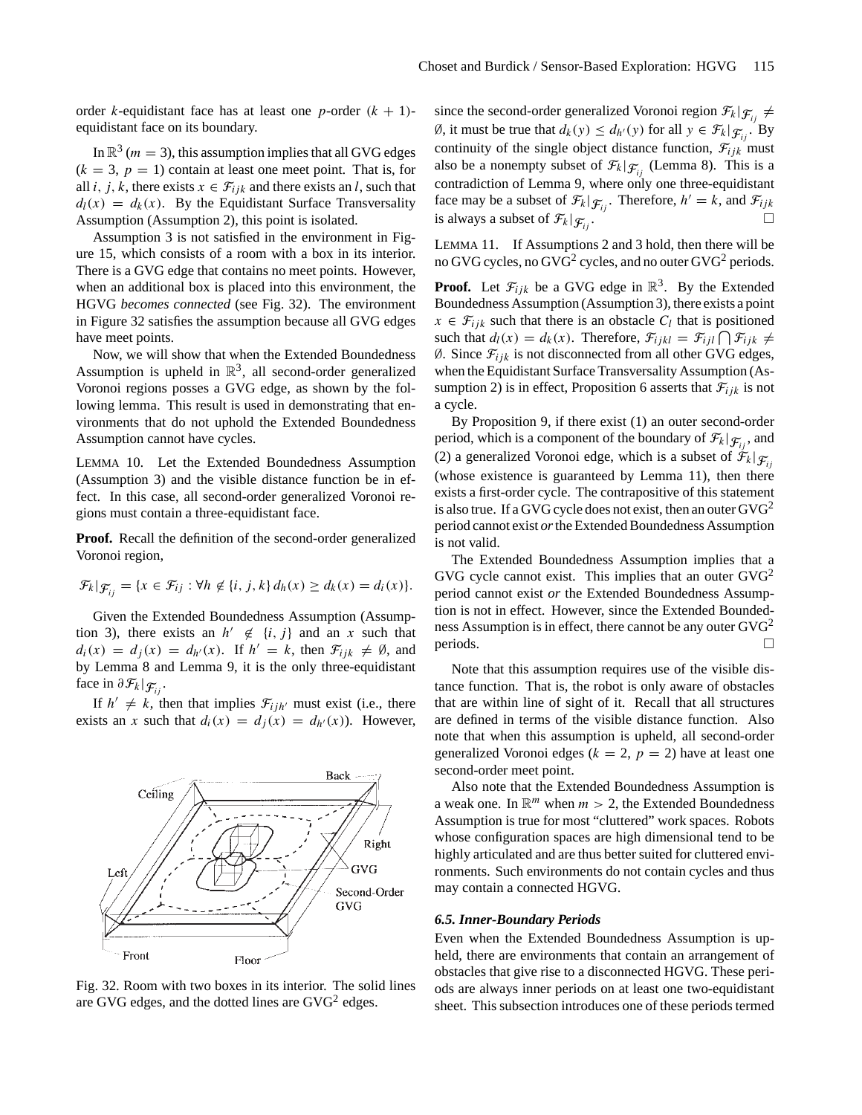order k-equidistant face has at least one p-order  $(k + 1)$ equidistant face on its boundary.

In  $\mathbb{R}^3$  (*m* = 3), this assumption implies that all GVG edges  $(k = 3, p = 1)$  contain at least one meet point. That is, for all *i*, *j*, *k*, there exists  $x \in F_{ijk}$  and there exists an *l*, such that  $d_l(x) = d_k(x)$ . By the Equidistant Surface Transversality Assumption (Assumption 2), this point is isolated.

Assumption 3 is not satisfied in the environment in Figure 15, which consists of a room with a box in its interior. There is a GVG edge that contains no meet points. However, when an additional box is placed into this environment, the HGVG *becomes connected* (see Fig. 32). The environment in Figure 32 satisfies the assumption because all GVG edges have meet points.

Now, we will show that when the Extended Boundedness Assumption is upheld in  $\mathbb{R}^3$ , all second-order generalized Voronoi regions posses a GVG edge, as shown by the following lemma. This result is used in demonstrating that environments that do not uphold the Extended Boundedness Assumption cannot have cycles.

LEMMA 10. Let the Extended Boundedness Assumption (Assumption 3) and the visible distance function be in effect. In this case, all second-order generalized Voronoi regions must contain a three-equidistant face.

**Proof.** Recall the definition of the second-order generalized Voronoi region,

$$
\mathbb{F}_k|_{\mathbb{F}_{ij}} = \{x \in \mathbb{F}_{ij} : \forall h \notin \{i, j, k\} d_h(x) \ge d_k(x) = d_i(x)\}.
$$

Given the Extended Boundedness Assumption (Assumption 3), there exists an  $h' \notin \{i, j\}$  and an x such that  $d_i(x) = d_j(x) = d_{h'}(x)$ . If  $h' = k$ , then  $F_{ijk} \neq \emptyset$ , and by Lemma 8 and Lemma 9, it is the only three-equidistant face in  $\partial F_k|_{F_{ij}}$ .

If  $h' \neq k$ , then that implies  $F_{ijh'}$  must exist (i.e., there exists an x such that  $d_i(x) = d_j(x) = d_{h'}(x)$ . However,



Fig. 32. Room with two boxes in its interior. The solid lines are GVG edges, and the dotted lines are  $GVG<sup>2</sup>$  edges.

since the second-order generalized Voronoi region  $F_k|_{F_{ij}} \neq$  $\emptyset$ , it must be true that  $d_k(y) \leq d_{h'}(y)$  for all  $y \in F_k|_{F_{ij}}$ . By continuity of the single object distance function,  $F_{ijk}$  must also be a nonempty subset of  $F_k|_{F_{ij}}$  (Lemma 8). This is a contradiction of Lemma 9, where only one three-equidistant face may be a subset of  $F_k|_{F_{ij}}$ . Therefore,  $h' = k$ , and  $F_{ijk}$ is always a subset of  $F_k|_{F_{ii}}$ .  $F_{ij}$ .

LEMMA 11. If Assumptions 2 and 3 hold, then there will be no GVG cycles, no GVG<sup>2</sup> cycles, and no outer GVG<sup>2</sup> periods.

**Proof.** Let  $F_{ijk}$  be a GVG edge in  $\mathbb{R}^3$ . By the Extended Boundedness Assumption (Assumption 3), there exists a point  $x \in F_{ijk}$  such that there is an obstacle  $C_l$  that is positioned such that  $d_l(x) = d_k(x)$ . Therefore,  $F_{ijkl} = F_{ijl} \bigcap F_{ijk} \neq$ Ø. Since  $F_{ijk}$  is not disconnected from all other GVG edges, when the Equidistant Surface Transversality Assumption (Assumption 2) is in effect, Proposition 6 asserts that  $F_{ijk}$  is not a cycle.

By Proposition 9, if there exist (1) an outer second-order period, which is a component of the boundary of  $F_k|_{F_{ij}}$ , and (2) a generalized Voronoi edge, which is a subset of  $\overline{F}_k|_{F_{ij}}$ (whose existence is guaranteed by Lemma 11), then there exists a first-order cycle. The contrapositive of this statement is also true. If a GVG cycle does not exist, then an outer  $GVG<sup>2</sup>$ period cannot exist *or*the Extended Boundedness Assumption is not valid.

The Extended Boundedness Assumption implies that a GVG cycle cannot exist. This implies that an outer  $GVG<sup>2</sup>$ period cannot exist *or* the Extended Boundedness Assumption is not in effect. However, since the Extended Boundedness Assumption is in effect, there cannot be any outer  $GVG<sup>2</sup>$ periods.

Note that this assumption requires use of the visible distance function. That is, the robot is only aware of obstacles that are within line of sight of it. Recall that all structures are defined in terms of the visible distance function. Also note that when this assumption is upheld, all second-order generalized Voronoi edges ( $k = 2$ ,  $p = 2$ ) have at least one second-order meet point.

Also note that the Extended Boundedness Assumption is a weak one. In  $\mathbb{R}^m$  when  $m > 2$ , the Extended Boundedness Assumption is true for most "cluttered" work spaces. Robots whose configuration spaces are high dimensional tend to be highly articulated and are thus better suited for cluttered environments. Such environments do not contain cycles and thus may contain a connected HGVG.

#### *6.5. Inner-Boundary Periods*

Even when the Extended Boundedness Assumption is upheld, there are environments that contain an arrangement of obstacles that give rise to a disconnected HGVG. These periods are always inner periods on at least one two-equidistant sheet. This subsection introduces one of these periods termed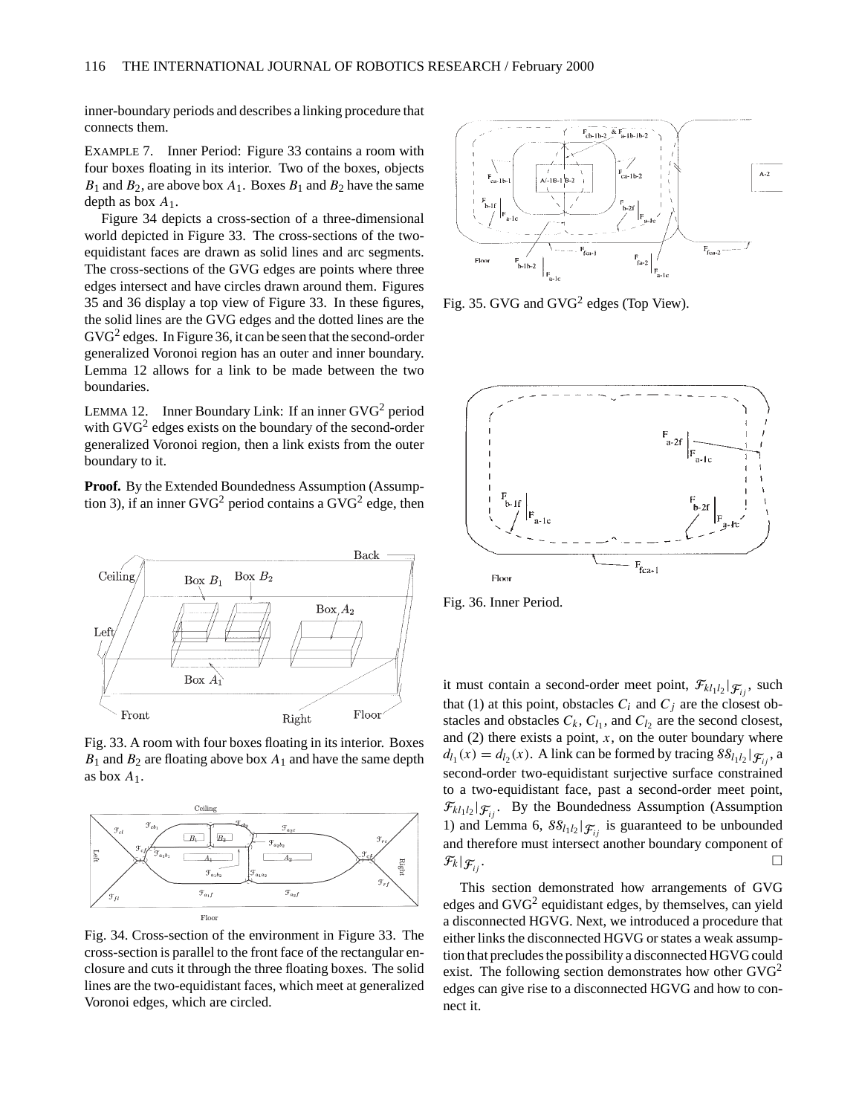inner-boundary periods and describes a linking procedure that connects them.

EXAMPLE 7. Inner Period: Figure 33 contains a room with four boxes floating in its interior. Two of the boxes, objects  $B_1$  and  $B_2$ , are above box  $A_1$ . Boxes  $B_1$  and  $B_2$  have the same depth as box  $A_1$ .

Figure 34 depicts a cross-section of a three-dimensional world depicted in Figure 33. The cross-sections of the twoequidistant faces are drawn as solid lines and arc segments. The cross-sections of the GVG edges are points where three edges intersect and have circles drawn around them. Figures 35 and 36 display a top view of Figure 33. In these figures, the solid lines are the GVG edges and the dotted lines are the GVG<sup>2</sup> edges. In Figure 36, it can be seen that the second-order generalized Voronoi region has an outer and inner boundary. Lemma 12 allows for a link to be made between the two boundaries.

LEMMA 12. Inner Boundary Link: If an inner  $GVG<sup>2</sup>$  period with  $GVG<sup>2</sup>$  edges exists on the boundary of the second-order generalized Voronoi region, then a link exists from the outer boundary to it.

**Proof.** By the Extended Boundedness Assumption (Assumption 3), if an inner GVG2 period contains a GVG2 edge, then



Fig. 33. A room with four boxes floating in its interior. Boxes  $B_1$  and  $B_2$  are floating above box  $A_1$  and have the same depth as box  $A_1$ .



Fig. 34. Cross-section of the environment in Figure 33. The cross-section is parallel to the front face of the rectangular enclosure and cuts it through the three floating boxes. The solid lines are the two-equidistant faces, which meet at generalized Voronoi edges, which are circled.



Fig. 35. GVG and GVG<sup>2</sup> edges (Top View).



Fig. 36. Inner Period.

it must contain a second-order meet point,  $F_{kl_1l_2}|_{F_{ij}}$ , such that (1) at this point, obstacles  $C_i$  and  $C_j$  are the closest obstacles and obstacles  $C_k$ ,  $C_{l_1}$ , and  $C_{l_2}$  are the second closest, and  $(2)$  there exists a point, x, on the outer boundary where  $d_{l_1}(x) = d_{l_2}(x)$ . A link can be formed by tracing  $77_{l_1l_2} |_{\bigcap_{i,j} a}$ second-order two-equidistant surjective surface constrained to a two-equidistant face, past a second-order meet point,  $F_{kl_1l_2}|_{F_{ij}}$ . By the Boundedness Assumption (Assumption 1) and Lemma 6,  $77_{l_1l_2}$  | $F_{ij}$  is guaranteed to be unbounded and therefore must intersect another boundary component of  $F_k|_{F_{ii}}$ .  $F_{ij}$  .  $\Box$ 

This section demonstrated how arrangements of GVG edges and GVG2 equidistant edges, by themselves, can yield a disconnected HGVG. Next, we introduced a procedure that either links the disconnected HGVG or states a weak assumption that precludes the possibility a disconnected HGVG could exist. The following section demonstrates how other  $GVG<sup>2</sup>$ edges can give rise to a disconnected HGVG and how to connect it.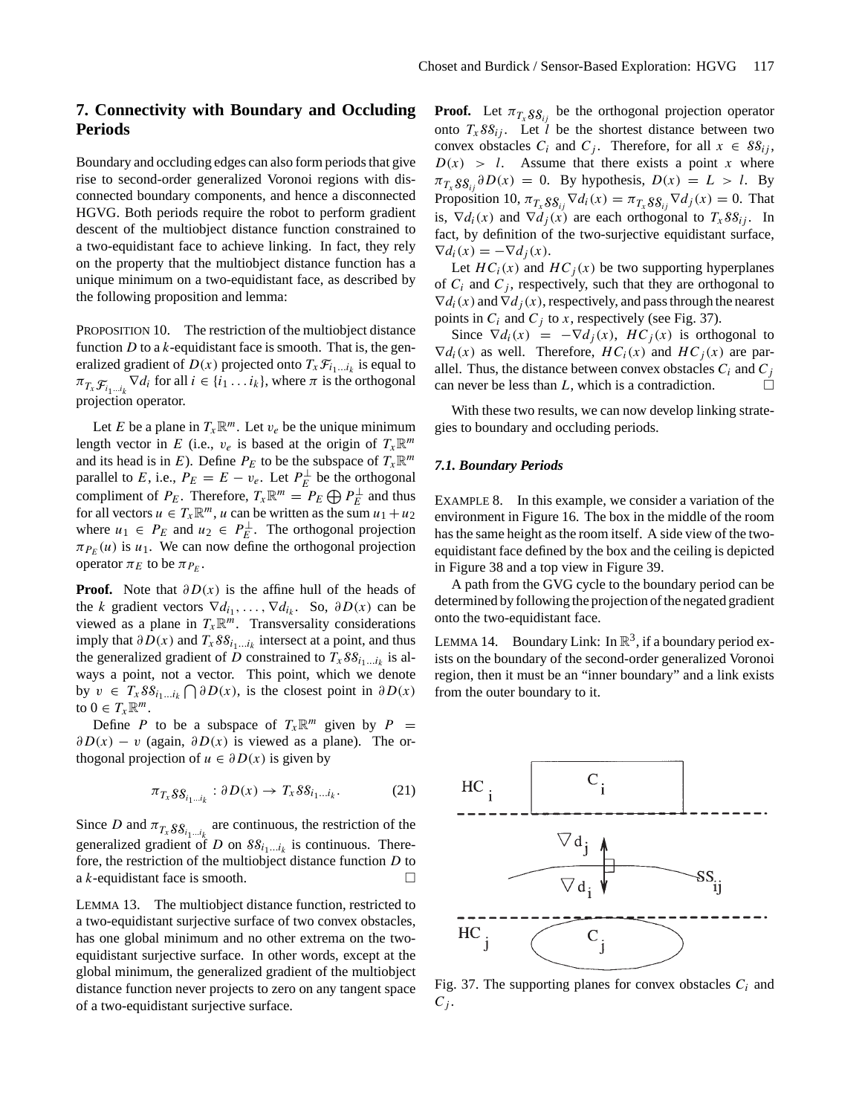# **7. Connectivity with Boundary and Occluding Periods**

Boundary and occluding edges can also form periods that give rise to second-order generalized Voronoi regions with disconnected boundary components, and hence a disconnected HGVG. Both periods require the robot to perform gradient descent of the multiobject distance function constrained to a two-equidistant face to achieve linking. In fact, they rely on the property that the multiobject distance function has a unique minimum on a two-equidistant face, as described by the following proposition and lemma:

PROPOSITION 10. The restriction of the multiobject distance function  $D$  to a  $k$ -equidistant face is smooth. That is, the generalized gradient of  $D(x)$  projected onto  $T_xF_{i_1...i_k}$  is equal to  $\pi_{T_x \sqsubset_{i_1 \dots i_k}} \nabla d_i$  for all  $i \in \{i_1 \dots i_k\}$ , where  $\pi$  is the orthogonal projection operator.

Let E be a plane in  $T_x \mathbb{R}^m$ . Let  $v_e$  be the unique minimum length vector in E (i.e.,  $v_e$  is based at the origin of  $T_x \mathbb{R}^m$ and its head is in E). Define  $P_E$  to be the subspace of  $T_x \mathbb{R}^m$ parallel to E, i.e.,  $P_E = E - v_e$ . Let  $P_E^{\perp}$  be the orthogonal compliment of  $P_E$ . Therefore,  $T_x \mathbb{R}^m = P_E \bigoplus P_E^{\perp}$  and thus for all vectors  $u \in T_x \mathbb{R}^m$ , u can be written as the sum  $u_1 + u_2$ where  $u_1 \in P_E$  and  $u_2 \in P_E^{\perp}$ . The orthogonal projection  $\pi_{P_E}(u)$  is  $u_1$ . We can now define the orthogonal projection operator  $\pi_E$  to be  $\pi_{P_F}$ .

**Proof.** Note that  $\partial D(x)$  is the affine hull of the heads of the k gradient vectors  $\nabla d_{i_1}, \ldots, \nabla d_{i_k}$ . So,  $\partial D(x)$  can be viewed as a plane in  $T_x \mathbb{R}^m$ . Transversality considerations imply that  $\partial D(x)$  and  $T_x$ 77<sub>i1</sub>...i<sub>k</sub> intersect at a point, and thus the generalized gradient of D constrained to  $T_x$ 77 $i_1...i_k$  is always a point, not a vector. This point, which we denote by  $v \in T_x$ 77<sub>i<sub>1</sub>...i<sub>k</sub>  $\bigcap \partial D(x)$ , is the closest point in  $\partial D(x)$ </sub> to  $0 \in T_{\mathfrak{X}} \mathbb{R}^m$ .

Define P to be a subspace of  $T_x \mathbb{R}^m$  given by P =  $\partial D(x) - v$  (again,  $\partial D(x)$  is viewed as a plane). The orthogonal projection of  $u \in \partial D(x)$  is given by

$$
\pi_{T_x} \mathbf{7}_{i_1 \dots i_k} : \partial D(x) \to T_x \mathbf{7}_{i_1 \dots i_k}.
$$
 (21)

Since D and  $\pi_{T_x}$ 77<sub>i1</sub>...i<sub>k</sub> are continuous, the restriction of the generalized gradient of D on  $77_{i_1...i_k}$  is continuous. Therefore, the restriction of the multiobject distance function D to a k-equidistant face is smooth.  $\square$ 

LEMMA 13. The multiobject distance function, restricted to a two-equidistant surjective surface of two convex obstacles, has one global minimum and no other extrema on the twoequidistant surjective surface. In other words, except at the global minimum, the generalized gradient of the multiobject distance function never projects to zero on any tangent space of a two-equidistant surjective surface.

**Proof.** Let  $\pi_{T_x}$ 77<sub>ij</sub> be the orthogonal projection operator onto  $T_x$ 77<sub>ij</sub>. Let l be the shortest distance between two convex obstacles  $C_i$  and  $C_j$ . Therefore, for all  $x \in 77_{ij}$ ,  $D(x) > l$ . Assume that there exists a point x where  $\pi_{T_x}$ 77<sub>ii</sub> $\partial D(x) = 0$ . By hypothesis,  $D(x) = L > l$ . By Proposition 10,  $\pi_{T_x} \frac{7}{i j} \nabla d_i(x) = \pi_{T_x} \frac{7}{i j} \nabla d_j(x) = 0$ . That is,  $\nabla d_i(x)$  and  $\nabla d_i(x)$  are each orthogonal to  $T_x 77_{ii}$ . In fact, by definition of the two-surjective equidistant surface,  $\nabla d_i(x) = -\nabla d_i(x).$ 

Let  $HC_i(x)$  and  $HC_i(x)$  be two supporting hyperplanes of  $C_i$  and  $C_j$ , respectively, such that they are orthogonal to  $\nabla d_i(x)$  and  $\nabla d_i(x)$ , respectively, and pass through the nearest points in  $C_i$  and  $C_j$  to x, respectively (see Fig. 37).

Since  $\nabla d_i(x) = -\nabla d_i(x)$ ,  $HC_i(x)$  is orthogonal to  $\nabla d_i(x)$  as well. Therefore,  $HC_i(x)$  and  $HC_i(x)$  are parallel. Thus, the distance between convex obstacles  $C_i$  and  $C_j$ can never be less than  $L$ , which is a contradiction.  $\Box$ 

With these two results, we can now develop linking strategies to boundary and occluding periods.

# *7.1. Boundary Periods*

EXAMPLE 8. In this example, we consider a variation of the environment in Figure 16. The box in the middle of the room has the same height as the room itself. A side view of the twoequidistant face defined by the box and the ceiling is depicted in Figure 38 and a top view in Figure 39.

A path from the GVG cycle to the boundary period can be determined by following the projection of the negated gradient onto the two-equidistant face.

LEMMA 14. Boundary Link: In  $\mathbb{R}^3$ , if a boundary period exists on the boundary of the second-order generalized Voronoi region, then it must be an "inner boundary" and a link exists from the outer boundary to it.



Fig. 37. The supporting planes for convex obstacles  $C_i$  and  $C_i$ .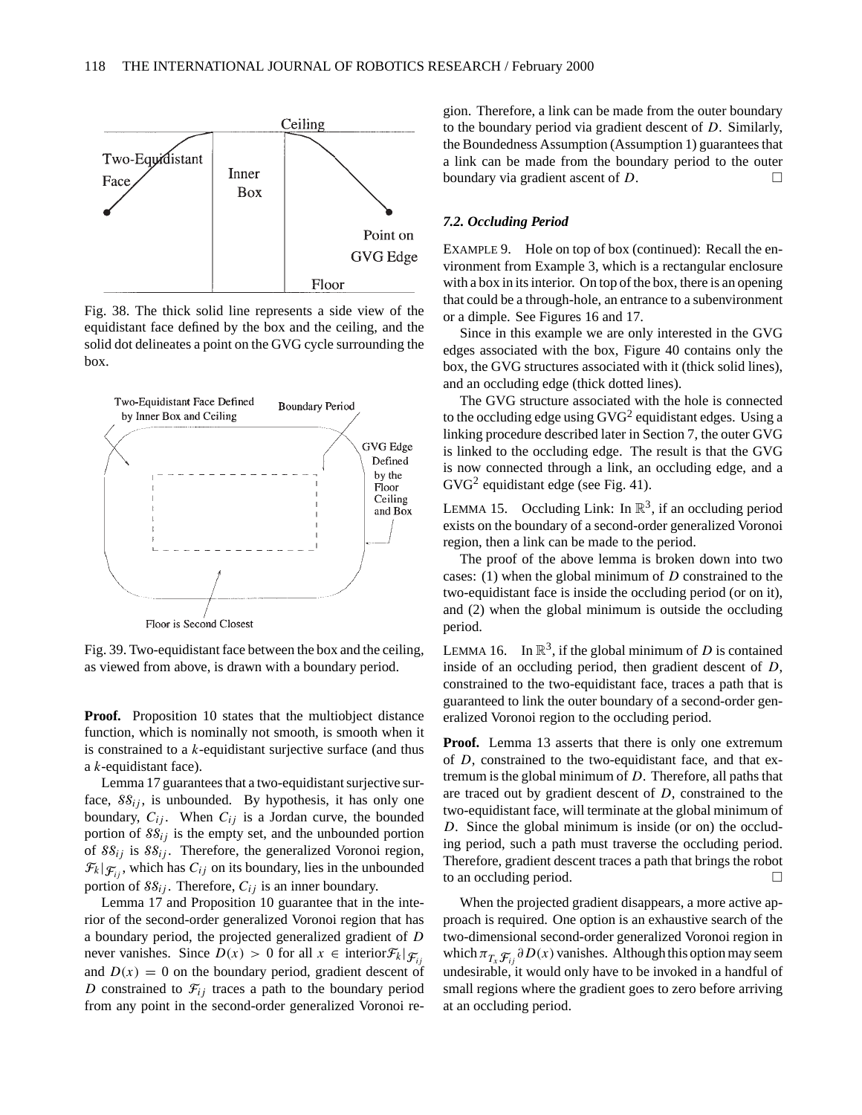

Fig. 38. The thick solid line represents a side view of the equidistant face defined by the box and the ceiling, and the solid dot delineates a point on the GVG cycle surrounding the box.



Fig. 39. Two-equidistant face between the box and the ceiling, as viewed from above, is drawn with a boundary period.

**Proof.** Proposition 10 states that the multiobject distance function, which is nominally not smooth, is smooth when it is constrained to a  $k$ -equidistant surjective surface (and thus a k-equidistant face).

Lemma 17 guarantees that a two-equidistant surjective surface,  $77_{ij}$ , is unbounded. By hypothesis, it has only one boundary,  $C_{ij}$ . When  $C_{ij}$  is a Jordan curve, the bounded portion of  $77_{ij}$  is the empty set, and the unbounded portion of  $77_{ij}$  is  $77_{ij}$ . Therefore, the generalized Voronoi region,  $F_k|_{F_{ij}}$ , which has  $C_{ij}$  on its boundary, lies in the unbounded portion of  $77_{ij}$ . Therefore,  $C_{ij}$  is an inner boundary.

Lemma 17 and Proposition 10 guarantee that in the interior of the second-order generalized Voronoi region that has a boundary period, the projected generalized gradient of D never vanishes. Since  $D(x) > 0$  for all  $x \in \text{interior} \mathbb{F}_k |_{\mathbb{F}_{ij}}$ and  $D(x) = 0$  on the boundary period, gradient descent of D constrained to  $F_{ij}$  traces a path to the boundary period from any point in the second-order generalized Voronoi region. Therefore, a link can be made from the outer boundary to the boundary period via gradient descent of D. Similarly, the Boundedness Assumption (Assumption 1) guarantees that a link can be made from the boundary period to the outer boundary via gradient ascent of  $D$ .

#### *7.2. Occluding Period*

EXAMPLE 9. Hole on top of box (continued): Recall the environment from Example 3, which is a rectangular enclosure with a box in its interior. On top of the box, there is an opening that could be a through-hole, an entrance to a subenvironment or a dimple. See Figures 16 and 17.

Since in this example we are only interested in the GVG edges associated with the box, Figure 40 contains only the box, the GVG structures associated with it (thick solid lines), and an occluding edge (thick dotted lines).

The GVG structure associated with the hole is connected to the occluding edge using  $GVG^2$  equidistant edges. Using a linking procedure described later in Section 7, the outer GVG is linked to the occluding edge. The result is that the GVG is now connected through a link, an occluding edge, and a  $GVG<sup>2</sup>$  equidistant edge (see Fig. 41).

LEMMA 15. Occluding Link: In  $\mathbb{R}^3$ , if an occluding period exists on the boundary of a second-order generalized Voronoi region, then a link can be made to the period.

The proof of the above lemma is broken down into two cases:  $(1)$  when the global minimum of D constrained to the two-equidistant face is inside the occluding period (or on it), and (2) when the global minimum is outside the occluding period.

LEMMA 16. In  $\mathbb{R}^3$ , if the global minimum of D is contained inside of an occluding period, then gradient descent of D, constrained to the two-equidistant face, traces a path that is guaranteed to link the outer boundary of a second-order generalized Voronoi region to the occluding period.

**Proof.** Lemma 13 asserts that there is only one extremum of D, constrained to the two-equidistant face, and that extremum is the global minimum of D. Therefore, all paths that are traced out by gradient descent of D, constrained to the two-equidistant face, will terminate at the global minimum of D. Since the global minimum is inside (or on) the occluding period, such a path must traverse the occluding period. Therefore, gradient descent traces a path that brings the robot to an occluding period.

When the projected gradient disappears, a more active approach is required. One option is an exhaustive search of the two-dimensional second-order generalized Voronoi region in which  $\pi_{T_x \sqsubseteq_{ii}} \partial D(x)$  vanishes. Although this option may seem undesirable, it would only have to be invoked in a handful of small regions where the gradient goes to zero before arriving at an occluding period.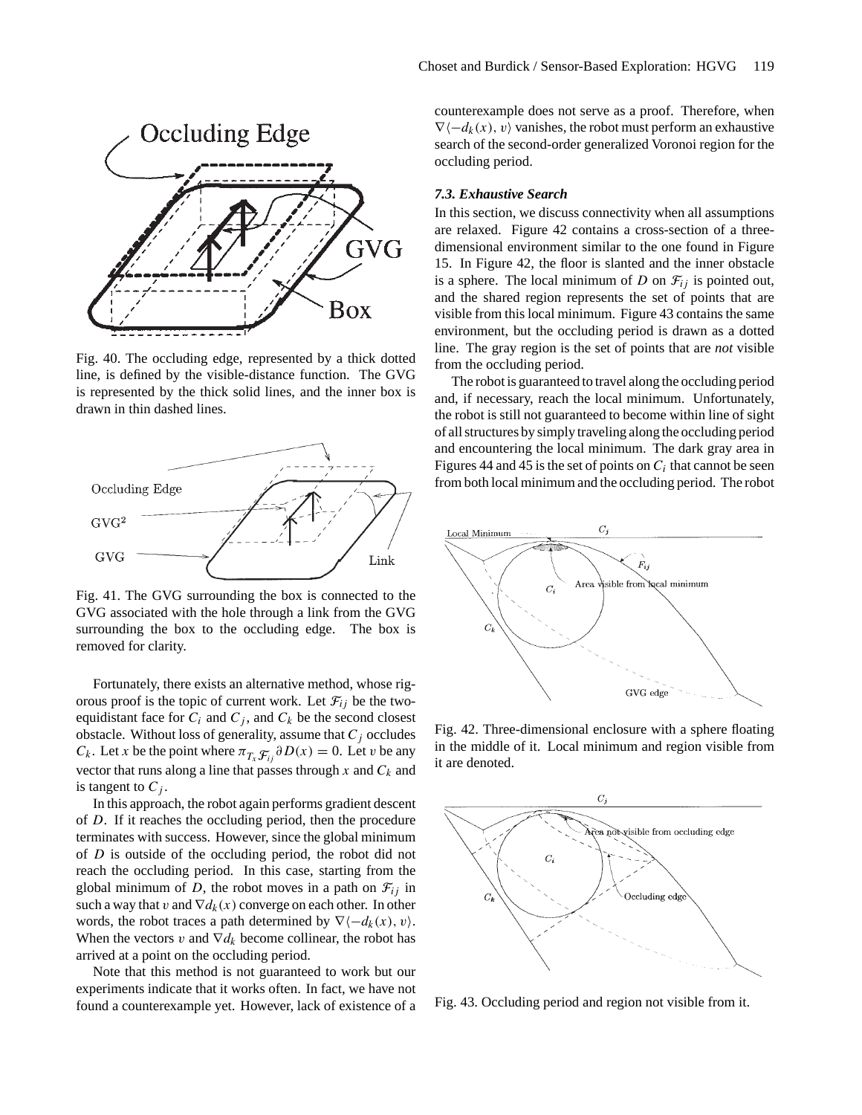

Fig. 40. The occluding edge, represented by a thick dotted line, is defined by the visible-distance function. The GVG is represented by the thick solid lines, and the inner box is drawn in thin dashed lines.



Fig. 41. The GVG surrounding the box is connected to the GVG associated with the hole through a link from the GVG surrounding the box to the occluding edge. The box is removed for clarity.

Fortunately, there exists an alternative method, whose rigorous proof is the topic of current work. Let  $F_{ij}$  be the twoequidistant face for  $C_i$  and  $C_j$ , and  $C_k$  be the second closest obstacle. Without loss of generality, assume that  $C_j$  occludes  $C_k$ . Let x be the point where  $\pi_{T_k \sqsubset \mathbb{F}_i} \partial D(x) = 0$ . Let v be any vector that runs along a line that passes through  $x$  and  $C_k$  and is tangent to  $C_i$ .

In this approach, the robot again performs gradient descent of D. If it reaches the occluding period, then the procedure terminates with success. However, since the global minimum of D is outside of the occluding period, the robot did not reach the occluding period. In this case, starting from the global minimum of D, the robot moves in a path on  $F_{ij}$  in such a way that v and  $\nabla d_k(x)$  converge on each other. In other words, the robot traces a path determined by  $\nabla \langle -d_k(x), v \rangle$ . When the vectors v and  $\nabla d_k$  become collinear, the robot has arrived at a point on the occluding period.

Note that this method is not guaranteed to work but our experiments indicate that it works often. In fact, we have not found a counterexample yet. However, lack of existence of a counterexample does not serve as a proof. Therefore, when  $\nabla$ {-d<sub>k</sub>(x), v) vanishes, the robot must perform an exhaustive search of the second-order generalized Voronoi region for the occluding period.

## *7.3. Exhaustive Search*

In this section, we discuss connectivity when all assumptions are relaxed. Figure 42 contains a cross-section of a threedimensional environment similar to the one found in Figure 15. In Figure 42, the floor is slanted and the inner obstacle is a sphere. The local minimum of D on  $F_{ij}$  is pointed out, and the shared region represents the set of points that are visible from this local minimum. Figure 43 contains the same environment, but the occluding period is drawn as a dotted line. The gray region is the set of points that are *not* visible from the occluding period.

The robot is guaranteed to travel along the occluding period and, if necessary, reach the local minimum. Unfortunately, the robot is still not guaranteed to become within line of sight of all structures by simply traveling along the occluding period and encountering the local minimum. The dark gray area in Figures 44 and 45 is the set of points on  $C_i$  that cannot be seen from both local minimum and the occluding period. The robot



Fig. 42. Three-dimensional enclosure with a sphere floating in the middle of it. Local minimum and region visible from it are denoted.



Fig. 43. Occluding period and region not visible from it.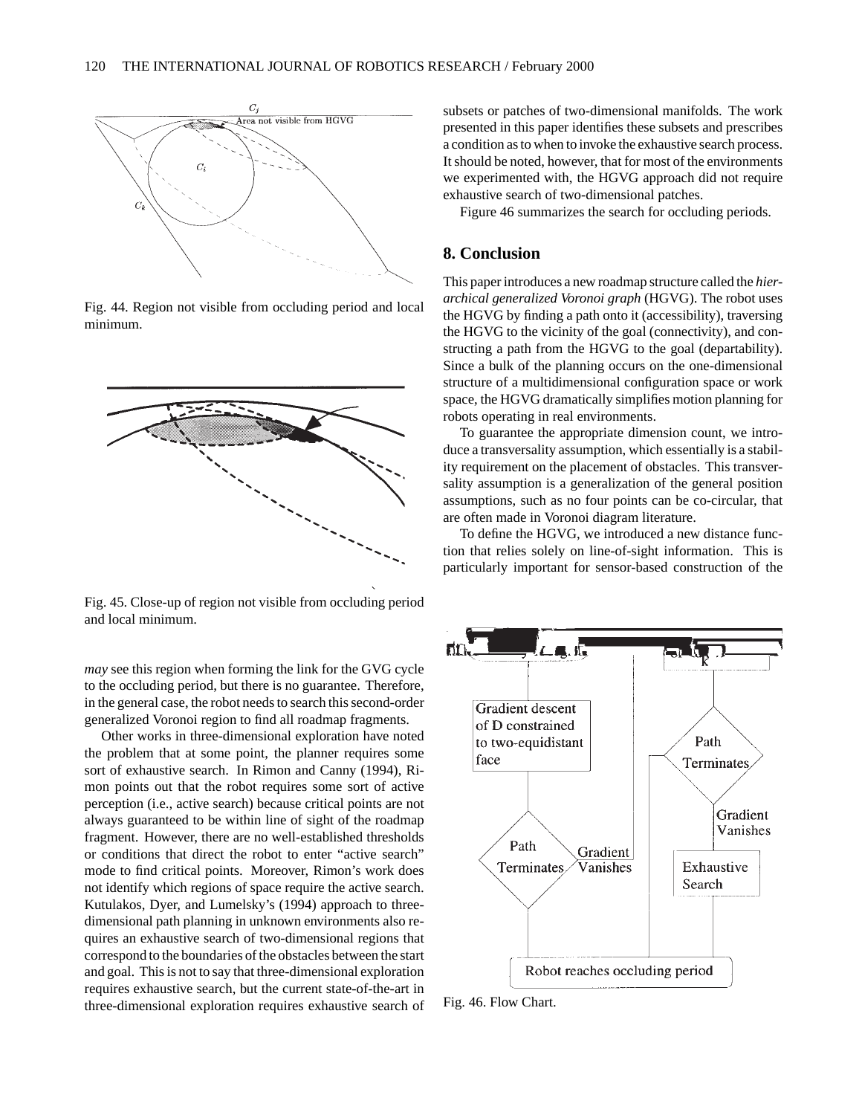

Fig. 44. Region not visible from occluding period and local minimum.



Fig. 45. Close-up of region not visible from occluding period and local minimum.

*may* see this region when forming the link for the GVG cycle to the occluding period, but there is no guarantee. Therefore, in the general case, the robot needs to search this second-order generalized Voronoi region to find all roadmap fragments.

Other works in three-dimensional exploration have noted the problem that at some point, the planner requires some sort of exhaustive search. In Rimon and Canny (1994), Rimon points out that the robot requires some sort of active perception (i.e., active search) because critical points are not always guaranteed to be within line of sight of the roadmap fragment. However, there are no well-established thresholds or conditions that direct the robot to enter "active search" mode to find critical points. Moreover, Rimon's work does not identify which regions of space require the active search. Kutulakos, Dyer, and Lumelsky's (1994) approach to threedimensional path planning in unknown environments also requires an exhaustive search of two-dimensional regions that correspond to the boundaries of the obstacles between the start and goal. This is not to say that three-dimensional exploration requires exhaustive search, but the current state-of-the-art in three-dimensional exploration requires exhaustive search of subsets or patches of two-dimensional manifolds. The work presented in this paper identifies these subsets and prescribes a condition as to when to invoke the exhaustive search process. It should be noted, however, that for most of the environments we experimented with, the HGVG approach did not require exhaustive search of two-dimensional patches.

Figure 46 summarizes the search for occluding periods.

# **8. Conclusion**

This paper introduces a new roadmap structure called the *hierarchical generalized Voronoi graph* (HGVG). The robot uses the HGVG by finding a path onto it (accessibility), traversing the HGVG to the vicinity of the goal (connectivity), and constructing a path from the HGVG to the goal (departability). Since a bulk of the planning occurs on the one-dimensional structure of a multidimensional configuration space or work space, the HGVG dramatically simplifies motion planning for robots operating in real environments.

To guarantee the appropriate dimension count, we introduce a transversality assumption, which essentially is a stability requirement on the placement of obstacles. This transversality assumption is a generalization of the general position assumptions, such as no four points can be co-circular, that are often made in Voronoi diagram literature.

To define the HGVG, we introduced a new distance function that relies solely on line-of-sight information. This is particularly important for sensor-based construction of the



Fig. 46. Flow Chart.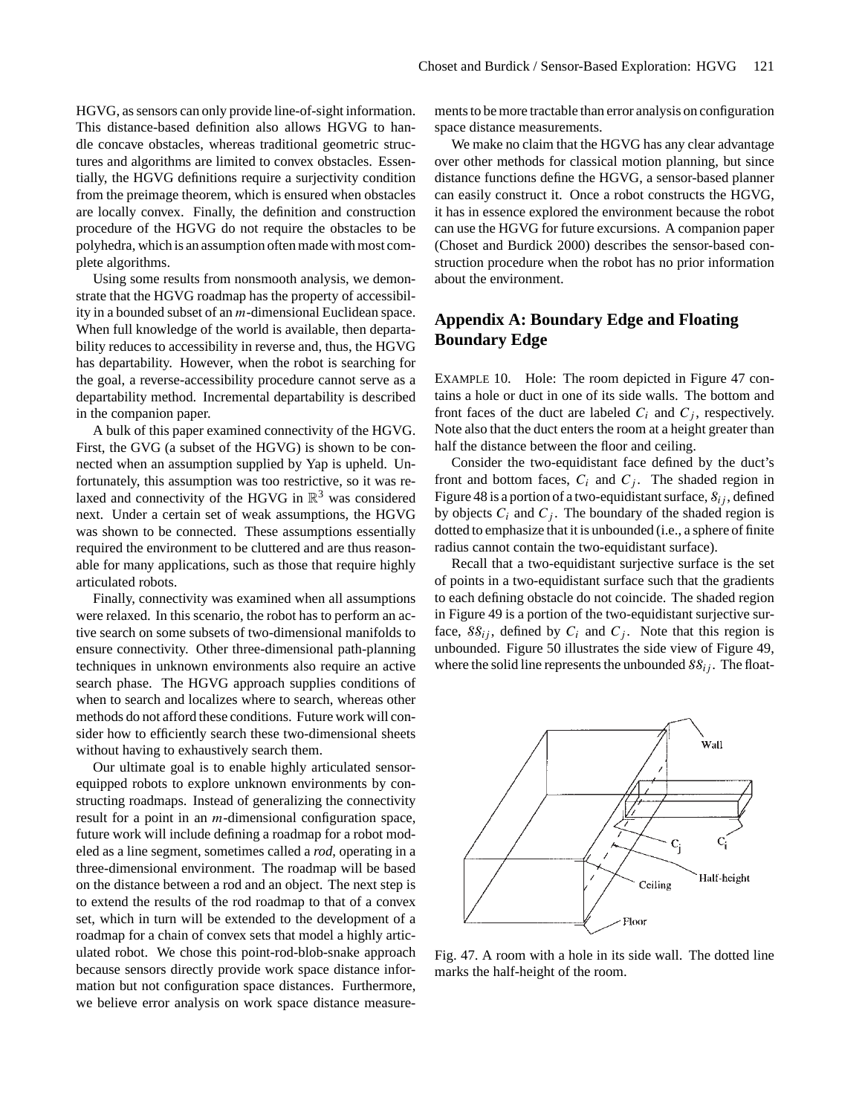HGVG, as sensors can only provide line-of-sight information. This distance-based definition also allows HGVG to handle concave obstacles, whereas traditional geometric structures and algorithms are limited to convex obstacles. Essentially, the HGVG definitions require a surjectivity condition from the preimage theorem, which is ensured when obstacles are locally convex. Finally, the definition and construction procedure of the HGVG do not require the obstacles to be polyhedra, which is an assumption often made with most complete algorithms.

Using some results from nonsmooth analysis, we demonstrate that the HGVG roadmap has the property of accessibility in a bounded subset of an m-dimensional Euclidean space. When full knowledge of the world is available, then departability reduces to accessibility in reverse and, thus, the HGVG has departability. However, when the robot is searching for the goal, a reverse-accessibility procedure cannot serve as a departability method. Incremental departability is described in the companion paper.

A bulk of this paper examined connectivity of the HGVG. First, the GVG (a subset of the HGVG) is shown to be connected when an assumption supplied by Yap is upheld. Unfortunately, this assumption was too restrictive, so it was relaxed and connectivity of the HGVG in  $\mathbb{R}^3$  was considered next. Under a certain set of weak assumptions, the HGVG was shown to be connected. These assumptions essentially required the environment to be cluttered and are thus reasonable for many applications, such as those that require highly articulated robots.

Finally, connectivity was examined when all assumptions were relaxed. In this scenario, the robot has to perform an active search on some subsets of two-dimensional manifolds to ensure connectivity. Other three-dimensional path-planning techniques in unknown environments also require an active search phase. The HGVG approach supplies conditions of when to search and localizes where to search, whereas other methods do not afford these conditions. Future work will consider how to efficiently search these two-dimensional sheets without having to exhaustively search them.

Our ultimate goal is to enable highly articulated sensorequipped robots to explore unknown environments by constructing roadmaps. Instead of generalizing the connectivity result for a point in an m-dimensional configuration space, future work will include defining a roadmap for a robot modeled as a line segment, sometimes called a *rod*, operating in a three-dimensional environment. The roadmap will be based on the distance between a rod and an object. The next step is to extend the results of the rod roadmap to that of a convex set, which in turn will be extended to the development of a roadmap for a chain of convex sets that model a highly articulated robot. We chose this point-rod-blob-snake approach because sensors directly provide work space distance information but not configuration space distances. Furthermore, we believe error analysis on work space distance measurements to be more tractable than error analysis on configuration space distance measurements.

We make no claim that the HGVG has any clear advantage over other methods for classical motion planning, but since distance functions define the HGVG, a sensor-based planner can easily construct it. Once a robot constructs the HGVG, it has in essence explored the environment because the robot can use the HGVG for future excursions. A companion paper (Choset and Burdick 2000) describes the sensor-based construction procedure when the robot has no prior information about the environment.

# **Appendix A: Boundary Edge and Floating Boundary Edge**

EXAMPLE 10. Hole: The room depicted in Figure 47 contains a hole or duct in one of its side walls. The bottom and front faces of the duct are labeled  $C_i$  and  $C_j$ , respectively. Note also that the duct enters the room at a height greater than half the distance between the floor and ceiling.

Consider the two-equidistant face defined by the duct's front and bottom faces,  $C_i$  and  $C_j$ . The shaded region in Figure 48 is a portion of a two-equidistant surface,  $7_{ij}$ , defined by objects  $C_i$  and  $C_j$ . The boundary of the shaded region is dotted to emphasize that it is unbounded (i.e., a sphere of finite radius cannot contain the two-equidistant surface).

Recall that a two-equidistant surjective surface is the set of points in a two-equidistant surface such that the gradients to each defining obstacle do not coincide. The shaded region in Figure 49 is a portion of the two-equidistant surjective surface,  $77_{ij}$ , defined by  $C_i$  and  $C_j$ . Note that this region is unbounded. Figure 50 illustrates the side view of Figure 49, where the solid line represents the unbounded  $77_{ij}$ . The float-



Fig. 47. A room with a hole in its side wall. The dotted line marks the half-height of the room.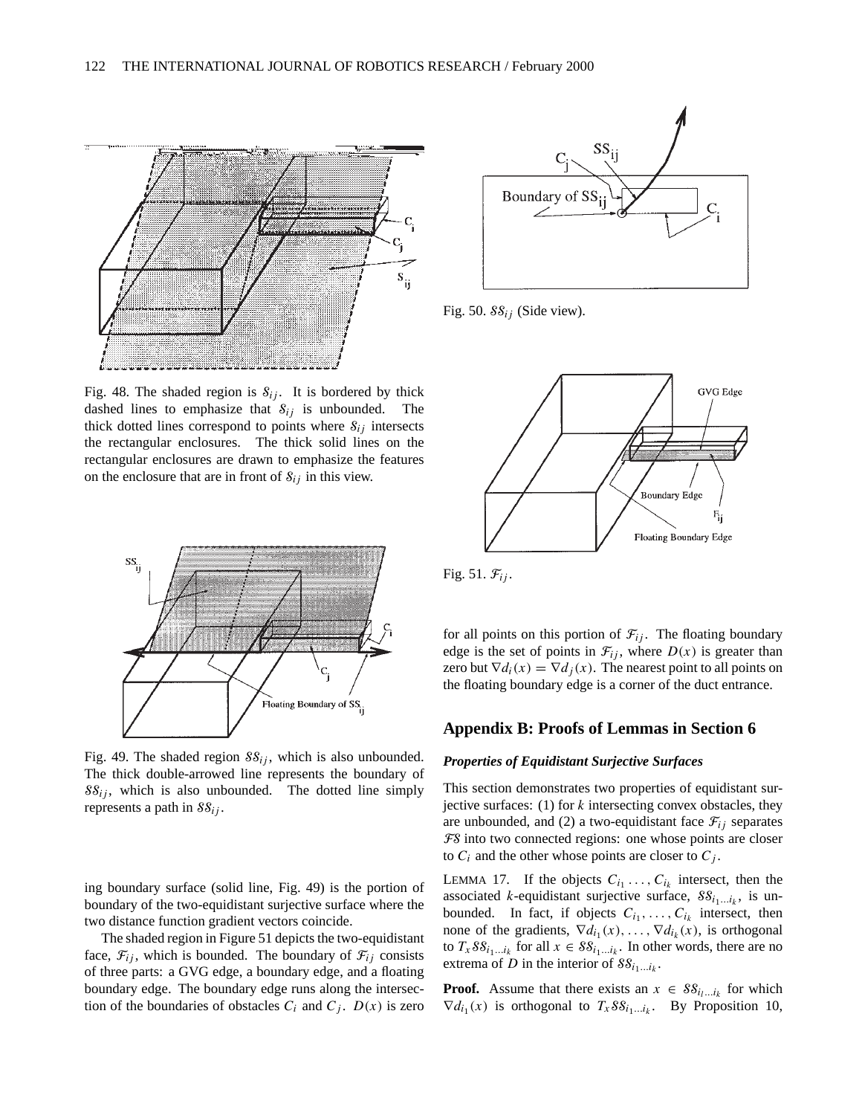

Fig. 48. The shaded region is  $7_{ij}$ . It is bordered by thick dashed lines to emphasize that  $7_{ij}$  is unbounded. The thick dotted lines correspond to points where  $7_{ij}$  intersects the rectangular enclosures. The thick solid lines on the rectangular enclosures are drawn to emphasize the features on the enclosure that are in front of  $7_{ij}$  in this view.



Fig. 49. The shaded region  $77_{ij}$ , which is also unbounded. The thick double-arrowed line represents the boundary of  $77_{ii}$ , which is also unbounded. The dotted line simply represents a path in  $77_{ij}$ .

ing boundary surface (solid line, Fig. 49) is the portion of boundary of the two-equidistant surjective surface where the two distance function gradient vectors coincide.

The shaded region in Figure 51 depicts the two-equidistant face,  $F_{ij}$ , which is bounded. The boundary of  $F_{ij}$  consists of three parts: a GVG edge, a boundary edge, and a floating boundary edge. The boundary edge runs along the intersection of the boundaries of obstacles  $C_i$  and  $C_j$ .  $D(x)$  is zero



Fig. 50.  $77_{ij}$  (Side view).



Fig. 51.  $F_{ij}$ .

for all points on this portion of  $F_{ij}$ . The floating boundary edge is the set of points in  $F_{ij}$ , where  $D(x)$  is greater than zero but  $\nabla d_i(x) = \nabla d_i(x)$ . The nearest point to all points on the floating boundary edge is a corner of the duct entrance.

# **Appendix B: Proofs of Lemmas in Section 6**

#### *Properties of Equidistant Surjective Surfaces*

This section demonstrates two properties of equidistant surjective surfaces:  $(1)$  for k intersecting convex obstacles, they are unbounded, and (2) a two-equidistant face  $F_{ij}$  separates F7 into two connected regions: one whose points are closer to  $C_i$  and the other whose points are closer to  $C_j$ .

LEMMA 17. If the objects  $C_{i_1} \ldots, C_{i_k}$  intersect, then the associated k-equidistant surjective surface,  $77_{i_1...i_k}$ , is unbounded. In fact, if objects  $C_{i_1}, \ldots, C_{i_k}$  intersect, then none of the gradients,  $\nabla d_{i_1}(x), \ldots, \nabla d_{i_k}(x)$ , is orthogonal to  $T_x$ 77 $i_1...i_k$  for all  $x \in 77$  $i_1...i_k$ . In other words, there are no extrema of D in the interior of  $77_{i_1...i_k}$ .

**Proof.** Assume that there exists an  $x \in 77_{i_1...i_k}$  for which  $\nabla d_{i_1}(x)$  is orthogonal to  $T_x 77_{i_1...i_k}$ . By Proposition 10,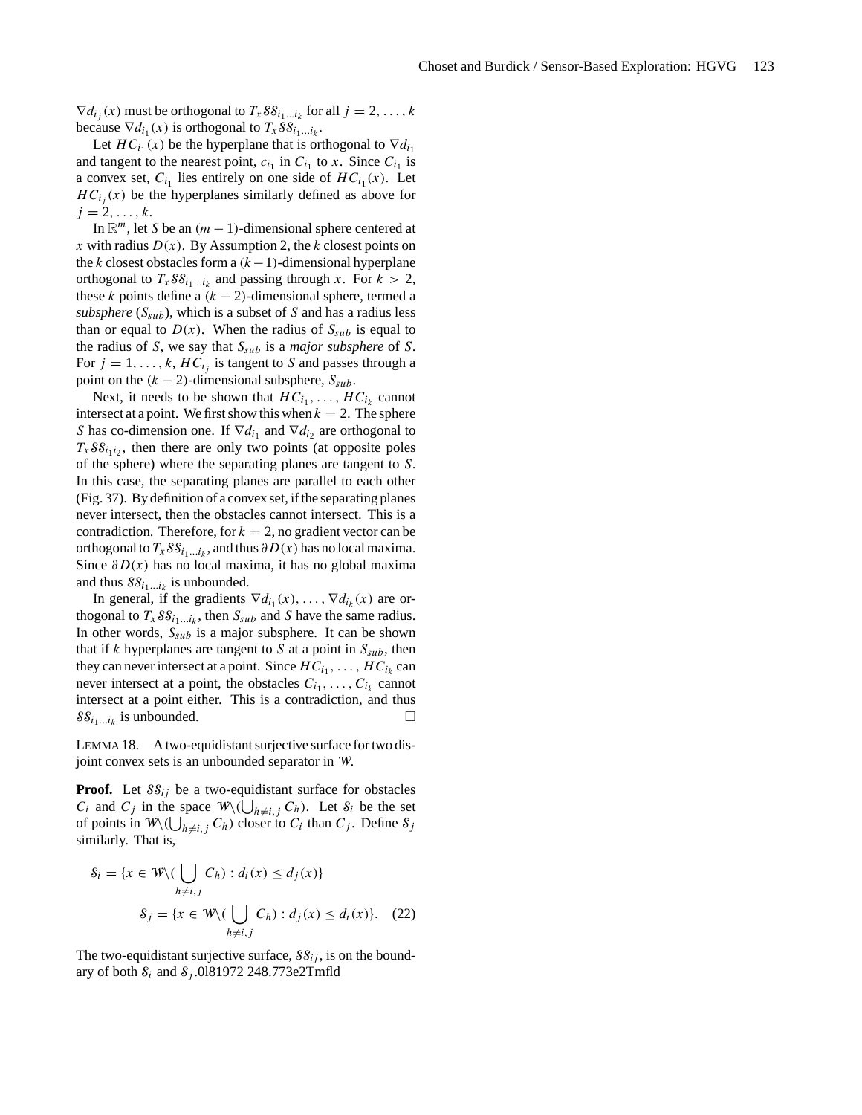$\nabla d_{i_j}(x)$  must be orthogonal to  $T_x$ 77 $i_1...i_k$  for all  $j = 2,...,k$ because  $\nabla d_{i_1}(x)$  is orthogonal to  $T_x 77_{i_1...i_k}$ .

Let  $HC_{i_1}(x)$  be the hyperplane that is orthogonal to  $\nabla d_{i_1}$ and tangent to the nearest point,  $c_{i_1}$  in  $C_{i_1}$  to x. Since  $C_{i_1}$  is a convex set,  $C_{i_1}$  lies entirely on one side of  $HC_{i_1}(x)$ . Let  $HC_{i}$  (x) be the hyperplanes similarly defined as above for  $j = 2, \ldots, k$ .

In  $\mathbb{R}^m$ , let S be an  $(m - 1)$ -dimensional sphere centered at x with radius  $D(x)$ . By Assumption 2, the k closest points on the k closest obstacles form a  $(k-1)$ -dimensional hyperplane orthogonal to  $T_x$ 77 $i_1...i_k$  and passing through x. For  $k > 2$ , these k points define a  $(k - 2)$ -dimensional sphere, termed a *subsphere*  $(S_{sub})$ , which is a subset of S and has a radius less than or equal to  $D(x)$ . When the radius of  $S_{sub}$  is equal to the radius of S, we say that  $S_{sub}$  is a *major subsphere* of S. For  $j = 1, \ldots, k$ ,  $HC_{i_j}$  is tangent to S and passes through a point on the  $(k - 2)$ -dimensional subsphere,  $S_{sub}$ .

Next, it needs to be shown that  $HC_{i_1}, \ldots, HC_{i_k}$  cannot intersect at a point. We first show this when  $k = 2$ . The sphere S has co-dimension one. If  $\nabla d_{i_1}$  and  $\nabla d_{i_2}$  are orthogonal to  $T_x$ 77<sub>i<sub>1</sub>i<sub>2</sub>, then there are only two points (at opposite poles</sub> of the sphere) where the separating planes are tangent to S. In this case, the separating planes are parallel to each other (Fig. 37). By definition of a convex set, if the separating planes never intersect, then the obstacles cannot intersect. This is a contradiction. Therefore, for  $k = 2$ , no gradient vector can be orthogonal to  $T_x$ 77<sub>i1...i<sub>k</sub>, and thus ∂D(x) has no local maxima.</sub> Since  $\partial D(x)$  has no local maxima, it has no global maxima and thus  $77_{i_1...i_k}$  is unbounded.  $\nabla d_i$ , (x) must the orthogonal to  $T_a^{-2} l_{1-i} L_i$  for all  $j = 2, ..., k$ <br>because  $\nabla d_i$ , (x) is ottogonal to  $T_a^{-2} l_{1-i} L_i$  for all  $\omega \nabla d_i$  for the state to the interact point,  $\omega$ , in  $C_i$  is a state  $C_i$  is an time e

In general, if the gradients  $\nabla d_{i_1}(x), \ldots, \nabla d_{i_k}(x)$  are orthogonal to  $T_x$ 77<sub>i<sub>1</sub>...i<sub>k</sub>, then  $S_{sub}$  and S have the same radius.</sub> In other words,  $S_{sub}$  is a major subsphere. It can be shown that if k hyperplanes are tangent to S at a point in  $S_{sub}$ , then they can never intersect at a point. Since  $HC_{i_1}, \ldots, HC_{i_k}$  can never intersect at a point, the obstacles  $C_{i_1}, \ldots, C_{i_k}$  cannot intersect at a point either. This is a contradiction, and thus  $77_{i_1...i_k}$  is unbounded.

LEMMA 18. A two-equidistant surjective surface for two disjoint convex sets is an unbounded separator in W.

**Proof.** Let  $77_{ij}$  be a two-equidistant surface for obstacles  $C_i$  and  $C_j$  in the space  $\forall \setminus (\bigcup_{h \neq i,j} C_h)$ . Let  $7_i$  be the set of points in  $\forall \setminus (\bigcup_{h \neq i,j} C_h)$  closer to  $C_i$  than  $C_j$ . Define  $7_j$ similarly. That is,

$$
7_i = \{x \in \mathbb{W} \setminus (\bigcup_{h \neq i,j} C_h) : d_i(x) \le d_j(x)\}
$$

$$
7_j = \{x \in \mathbb{W} \setminus (\bigcup_{h \neq i,j} C_h) : d_j(x) \le d_i(x)\}. \quad (22)
$$

The two-equidistant surjective surface,  $77_{ij}$ , is on the boundary of both  $7<sub>i</sub>$  and  $7<sub>j</sub>$ .0l81972 248.773e2Tm d

i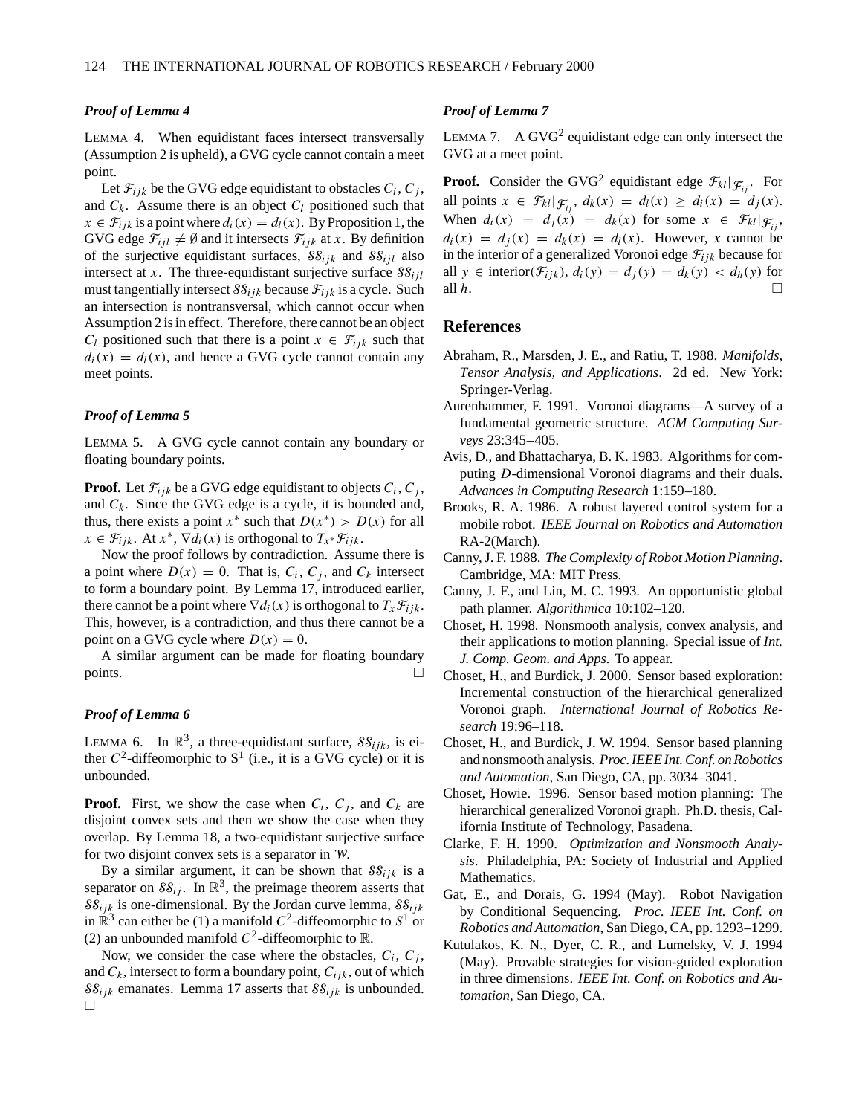#### *Proof of Lemma 4*

LEMMA 4. When equidistant faces intersect transversally (Assumption 2 is upheld), a GVG cycle cannot contain a meet point.

Let  $F_{ijk}$  be the GVG edge equidistant to obstacles  $C_i$ ,  $C_j$ , and  $C_k$ . Assume there is an object  $C_l$  positioned such that  $x \in F_{ijk}$  is a point where  $d_i(x) = d_l(x)$ . By Proposition 1, the GVG edge  $F_{ijl} \neq \emptyset$  and it intersects  $F_{ijk}$  at x. By definition of the surjective equidistant surfaces,  $77_{ijk}$  and  $77_{ijl}$  also intersect at x. The three-equidistant surjective surface  $77_{ijl}$ must tangentially intersect  $77_{ijk}$  because  $F_{ijk}$  is a cycle. Such an intersection is nontransversal, which cannot occur when Assumption 2 is in effect. Therefore, there cannot be an object  $C_l$  positioned such that there is a point  $x \in F_{ijk}$  such that  $d_i(x) = d_i(x)$ , and hence a GVG cycle cannot contain any meet points.

## *Proof of Lemma 5*

LEMMA 5. A GVG cycle cannot contain any boundary or floating boundary points.

**Proof.** Let  $F_{ijk}$  be a GVG edge equidistant to objects  $C_i$ ,  $C_j$ , and  $C_k$ . Since the GVG edge is a cycle, it is bounded and, thus, there exists a point  $x^*$  such that  $D(x^*)$  >  $D(x)$  for all  $x \in F_{ijk}$ . At  $x^*$ ,  $\nabla d_i(x)$  is orthogonal to  $T_{x^*}F_{ijk}$ .

Now the proof follows by contradiction. Assume there is a point where  $D(x) = 0$ . That is,  $C_i$ ,  $C_j$ , and  $C_k$  intersect to form a boundary point. By Lemma 17, introduced earlier, there cannot be a point where  $\nabla d_i(x)$  is orthogonal to  $T_xF_{iik}$ . This, however, is a contradiction, and thus there cannot be a point on a GVG cycle where  $D(x) = 0$ .

A similar argument can be made for floating boundary points.  $\Box$ 

## *Proof of Lemma 6*

LEMMA 6. In  $\mathbb{R}^3$ , a three-equidistant surface,  $77_{ijk}$ , is either  $C^2$ -diffeomorphic to  $S^1$  (i.e., it is a GVG cycle) or it is unbounded.

**Proof.** First, we show the case when  $C_i$ ,  $C_j$ , and  $C_k$  are disjoint convex sets and then we show the case when they overlap. By Lemma 18, a two-equidistant surjective surface for two disjoint convex sets is a separator in W.

By a similar argument, it can be shown that  $77_{ijk}$  is a separator on  $77_{ij}$ . In  $\mathbb{R}^3$ , the preimage theorem asserts that  $77_{ijk}$  is one-dimensional. By the Jordan curve lemma,  $77_{ijk}$ in  $\mathbb{R}^3$  can either be (1) a manifold  $C^2$ -diffeomorphic to  $S^1$  or (2) an unbounded manifold  $C^2$ -diffeomorphic to R.

Now, we consider the case where the obstacles,  $C_i$ ,  $C_j$ , and  $C_k$ , intersect to form a boundary point,  $C_{ijk}$ , out of which  $77_{ijk}$  emanates. Lemma 17 asserts that  $77_{ijk}$  is unbounded.  $\Box$ 

## *Proof of Lemma 7*

LEMMA 7. A  $GVG<sup>2</sup>$  equidistant edge can only intersect the GVG at a meet point.

**Proof.** Consider the GVG<sup>2</sup> equidistant edge  $F_{kl}|_{F_{ij}}$ . For all points  $x \in F_{kl}|_{F_{ij}}$ ,  $d_k(x) = d_l(x) \ge d_i(x) = d_j(x)$ . When  $d_i(x) = d_j(x) = d_k(x)$  for some  $x \in F_{kl}|_{F_{ij}}$ ,  $d_i(x) = d_j(x) = d_k(x) = d_l(x)$ . However, x cannot be in the interior of a generalized Voronoi edge  $F_{ijk}$  because for all  $y \in \text{interior}(\mathbb{F}_{ijk}), d_i(y) = d_j(y) = d_k(y) < d_h(y)$  for all  $h$ .

## **References**

- Abraham, R., Marsden, J. E., and Ratiu, T. 1988. *Manifolds, Tensor Analysis, and Applications*. 2d ed. New York: Springer-Verlag.
- Aurenhammer, F. 1991. Voronoi diagrams—A survey of a fundamental geometric structure. *ACM Computing Surveys* 23:345–405.
- Avis, D., and Bhattacharya, B. K. 1983. Algorithms for computing D-dimensional Voronoi diagrams and their duals. *Advances in Computing Research* 1:159–180.
- Brooks, R. A. 1986. A robust layered control system for a mobile robot. *IEEE Journal on Robotics and Automation* RA-2(March).
- Canny, J. F. 1988. *The Complexity of Robot Motion Planning*. Cambridge, MA: MIT Press.
- Canny, J. F., and Lin, M. C. 1993. An opportunistic global path planner. *Algorithmica* 10:102–120.
- Choset, H. 1998. Nonsmooth analysis, convex analysis, and their applications to motion planning. Special issue of *Int. J. Comp. Geom. and Apps.* To appear.
- Choset, H., and Burdick, J. 2000. Sensor based exploration: Incremental construction of the hierarchical generalized Voronoi graph. *International Journal of Robotics Research* 19:96–118.
- Choset, H., and Burdick, J. W. 1994. Sensor based planning and nonsmooth analysis. *Proc. IEEE Int. Conf. on Robotics and Automation*, San Diego, CA, pp. 3034–3041.
- Choset, Howie. 1996. Sensor based motion planning: The hierarchical generalized Voronoi graph. Ph.D. thesis, California Institute of Technology, Pasadena.
- Clarke, F. H. 1990. *Optimization and Nonsmooth Analysis*. Philadelphia, PA: Society of Industrial and Applied Mathematics.
- Gat, E., and Dorais, G. 1994 (May). Robot Navigation by Conditional Sequencing. *Proc. IEEE Int. Conf. on Robotics and Automation*, San Diego, CA, pp. 1293–1299.
- Kutulakos, K. N., Dyer, C. R., and Lumelsky, V. J. 1994 (May). Provable strategies for vision-guided exploration in three dimensions. *IEEE Int. Conf. on Robotics and Automation*, San Diego, CA.